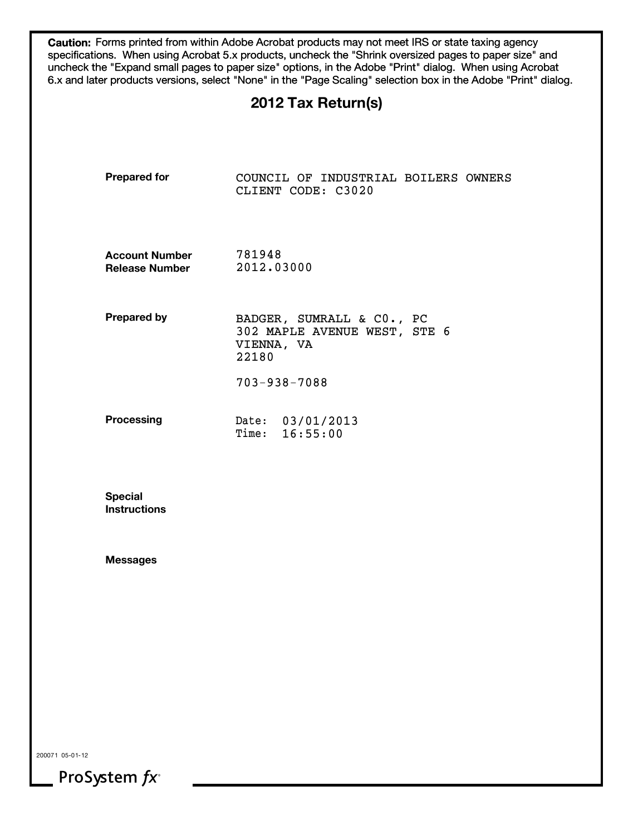**Caution:** Forms printed from within Adobe Acrobat products may not meet IRS or state taxing agency specifications. When using Acrobat 5.x products, uncheck the "Shrink oversized pages to paper size" and uncheck the "Expand small pages to paper size" options, in the Adobe "Print" dialog. When using Acrobat 6.x and later products versions, select "None" in the "Page Scaling" selection box in the Adobe "Print" dialog.

# **2012 Tax Return(s)**

| <b>Prepared for</b>                            | COUNCIL OF INDUSTRIAL BOILERS OWNERS<br>CLIENT CODE: C3020                       |
|------------------------------------------------|----------------------------------------------------------------------------------|
| <b>Account Number</b><br><b>Release Number</b> | 781948<br>2012.03000                                                             |
| <b>Prepared by</b>                             | BADGER, SUMRALL & CO., PC<br>302 MAPLE AVENUE WEST, STE 6<br>VIENNA, VA<br>22180 |
|                                                | $703 - 938 - 7088$                                                               |
| <b>Processing</b>                              | Date: 03/01/2013<br>Time: 16:55:00                                               |
| <b>Special</b><br><b>Instructions</b>          |                                                                                  |
| <b>Messages</b>                                |                                                                                  |
|                                                |                                                                                  |
|                                                |                                                                                  |
|                                                |                                                                                  |
|                                                |                                                                                  |

200071 05-01-12

ProSystem  $fx^*$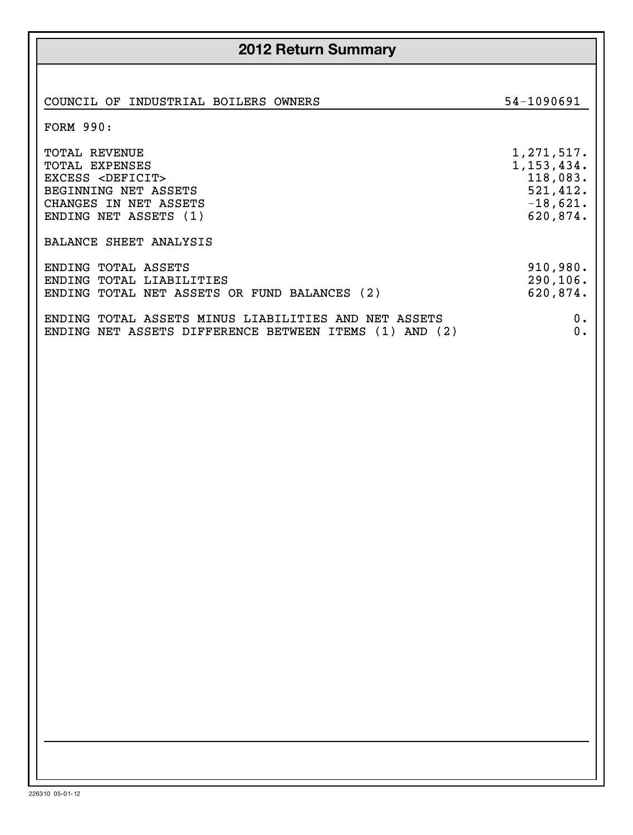| <b>2012 Return Summary</b>                                                                                                                        |                                                                                |  |  |  |  |  |
|---------------------------------------------------------------------------------------------------------------------------------------------------|--------------------------------------------------------------------------------|--|--|--|--|--|
| COUNCIL OF INDUSTRIAL BOILERS<br>OWNERS<br><b>FORM 990:</b>                                                                                       | 54-1090691                                                                     |  |  |  |  |  |
| <b>TOTAL REVENUE</b><br>TOTAL EXPENSES<br>EXCESS <deficit><br/>BEGINNING NET ASSETS<br/>CHANGES IN NET ASSETS<br/>ENDING NET ASSETS (1)</deficit> | 1, 271, 517.<br>1, 153, 434.<br>118,083.<br>521,412.<br>$-18,621.$<br>620,874. |  |  |  |  |  |
| BALANCE SHEET ANALYSIS                                                                                                                            |                                                                                |  |  |  |  |  |
| ENDING TOTAL ASSETS<br>ENDING TOTAL LIABILITIES<br>ENDING TOTAL NET ASSETS OR FUND BALANCES (2)                                                   | 910,980.<br>290,106.<br>620,874.                                               |  |  |  |  |  |
| ENDING TOTAL ASSETS MINUS LIABILITIES AND NET ASSETS<br>ENDING NET ASSETS DIFFERENCE BETWEEN ITEMS<br>$(1)$ AND $(2)$                             | 0.<br>0.                                                                       |  |  |  |  |  |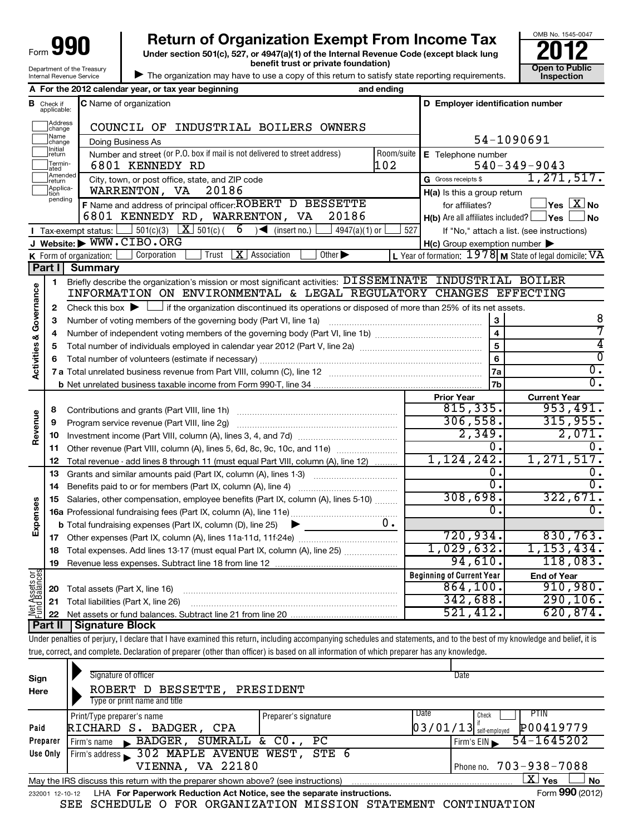| aqu<br>Form                |
|----------------------------|
| Department of the Treasury |
| Internal Revenue Service   |

# **990** Return of Organization Exempt From Income Tax  $\frac{6008 \text{ No. 1545-004}}{2012}$

**Under section 501(c), 527, or 4947(a)(1) of the Internal Revenue Code (except black lung benefit trust or private foundation) Construction Construction Construction Construction** 



| The organization may have to use a copy of this return to satisfy state reporting requirements.

|                         |                                  | A For the 2012 calendar year, or tax year beginning                                                                                                                        | and ending                                                                        |                                                     |                                                           |  |  |  |
|-------------------------|----------------------------------|----------------------------------------------------------------------------------------------------------------------------------------------------------------------------|-----------------------------------------------------------------------------------|-----------------------------------------------------|-----------------------------------------------------------|--|--|--|
|                         | <b>B</b> Check if<br>applicable: | C Name of organization                                                                                                                                                     |                                                                                   | D Employer identification number                    |                                                           |  |  |  |
|                         | Address<br> change               | COUNCIL OF INDUSTRIAL BOILERS OWNERS                                                                                                                                       |                                                                                   |                                                     |                                                           |  |  |  |
|                         | Name<br>change                   | Doing Business As                                                                                                                                                          |                                                                                   | 54-1090691                                          |                                                           |  |  |  |
|                         | Initial<br>return                | Number and street (or P.O. box if mail is not delivered to street address)                                                                                                 | Room/suite E Telephone number                                                     |                                                     |                                                           |  |  |  |
|                         | Termin-<br>ated                  | 6801 KENNEDY RD                                                                                                                                                            | 102                                                                               |                                                     | $540 - 349 - 9043$                                        |  |  |  |
|                         | Amended<br>return                | City, town, or post office, state, and ZIP code                                                                                                                            |                                                                                   | G Gross receipts \$                                 | 1, 271, 517.                                              |  |  |  |
|                         | Applica-<br>tion                 | WARRENTON, VA<br>20186                                                                                                                                                     |                                                                                   | $H(a)$ is this a group return                       |                                                           |  |  |  |
|                         | pending                          | F Name and address of principal officer: ROBERT D BESSETTE                                                                                                                 |                                                                                   | for affiliates?                                     | $\vert$ Yes $\vert$ $\mathrm{X}\vert$ No                  |  |  |  |
|                         |                                  | 20186<br>6801 KENNEDY RD, WARRENTON, VA                                                                                                                                    |                                                                                   | $H(b)$ Are all affiliates included? $\Box$ Yes      | ∫No                                                       |  |  |  |
|                         |                                  | Tax-exempt status: $\boxed{\phantom{0}}$ 501(c)(3) $\boxed{\phantom{0}}$ 501(c)( 6) $\boxed{\phantom{0}}$ (insert no.)<br>4947(a)(1) or                                    |                                                                                   | 527                                                 | If "No," attach a list. (see instructions)                |  |  |  |
|                         |                                  | J Website: WWW.CIBO.ORG                                                                                                                                                    |                                                                                   | $H(c)$ Group exemption number $\blacktriangleright$ |                                                           |  |  |  |
|                         |                                  | Trust $ \mathbf{X} $ Association<br>Corporation<br>Other $\blacktriangleright$<br><b>K</b> Form of organization: $\Box$                                                    |                                                                                   |                                                     | L Year of formation: $1978$ M State of legal domicile: VA |  |  |  |
|                         | Part I                           | <b>Summary</b>                                                                                                                                                             |                                                                                   |                                                     |                                                           |  |  |  |
|                         | 1                                | Briefly describe the organization's mission or most significant activities: DISSEMINATE INDUSTRIAL BOILER                                                                  |                                                                                   |                                                     |                                                           |  |  |  |
| Governance              |                                  | INFORMATION ON ENVIRONMENTAL & LEGAL REGULATORY CHANGES EFFECTING                                                                                                          |                                                                                   |                                                     |                                                           |  |  |  |
|                         | 2                                | Check this box $\blacktriangleright$ $\Box$ if the organization discontinued its operations or disposed of more than 25% of its net assets.                                |                                                                                   |                                                     |                                                           |  |  |  |
|                         | 3                                |                                                                                                                                                                            |                                                                                   | 3                                                   | 8                                                         |  |  |  |
|                         | 4                                |                                                                                                                                                                            |                                                                                   | $\overline{\mathbf{4}}$                             | 7                                                         |  |  |  |
|                         | 5                                |                                                                                                                                                                            |                                                                                   | 5                                                   | 4                                                         |  |  |  |
|                         | 6                                |                                                                                                                                                                            |                                                                                   | 6                                                   | 0                                                         |  |  |  |
| <b>Activities &amp;</b> |                                  |                                                                                                                                                                            | <b>7a</b>                                                                         | σ.                                                  |                                                           |  |  |  |
|                         |                                  |                                                                                                                                                                            |                                                                                   | 7b                                                  | $\overline{0}$ .                                          |  |  |  |
|                         |                                  |                                                                                                                                                                            |                                                                                   | <b>Prior Year</b>                                   | <b>Current Year</b>                                       |  |  |  |
|                         | 8                                |                                                                                                                                                                            |                                                                                   | 815, 335.                                           | 953,491.                                                  |  |  |  |
|                         | 9                                | Program service revenue (Part VIII, line 2g)                                                                                                                               |                                                                                   | 306, 558.                                           | 315,955.                                                  |  |  |  |
| Revenue                 | 10                               |                                                                                                                                                                            |                                                                                   | 2,349.                                              | 2,071.                                                    |  |  |  |
|                         | 11                               | Other revenue (Part VIII, column (A), lines 5, 6d, 8c, 9c, 10c, and 11e)                                                                                                   |                                                                                   | $\overline{0}$ .                                    | 0.                                                        |  |  |  |
|                         | 12                               | Total revenue - add lines 8 through 11 (must equal Part VIII, column (A), line 12)                                                                                         |                                                                                   | 1, 124, 242.                                        | 1,271,517.                                                |  |  |  |
|                         | 13                               | Grants and similar amounts paid (Part IX, column (A), lines 1-3)                                                                                                           |                                                                                   | 0.                                                  | 0.                                                        |  |  |  |
|                         | 14                               |                                                                                                                                                                            |                                                                                   | $\overline{0}$ .<br>308,698.                        | $\overline{0}$ .<br>322,671.                              |  |  |  |
|                         | 15                               |                                                                                                                                                                            | Salaries, other compensation, employee benefits (Part IX, column (A), lines 5-10) |                                                     |                                                           |  |  |  |
| Expenses                |                                  |                                                                                                                                                                            |                                                                                   | 0.                                                  | о.                                                        |  |  |  |
|                         |                                  | <b>b</b> Total fundraising expenses (Part IX, column (D), line 25) $\blacktriangleright$                                                                                   | $0$ .                                                                             |                                                     |                                                           |  |  |  |
|                         | 17                               |                                                                                                                                                                            |                                                                                   | 720, 934.                                           | 830,763.                                                  |  |  |  |
|                         |                                  | 18 Total expenses. Add lines 13-17 (must equal Part IX, column (A), line 25)                                                                                               |                                                                                   | 1,029,632.                                          | 1,153,434.                                                |  |  |  |
|                         | 19                               |                                                                                                                                                                            |                                                                                   | 94,610.                                             | 118,083.                                                  |  |  |  |
|                         |                                  |                                                                                                                                                                            |                                                                                   | <b>Beginning of Current Year</b>                    | <b>End of Year</b>                                        |  |  |  |
| Net Assets or           | 20                               | Total assets (Part X, line 16)                                                                                                                                             |                                                                                   | 864,100.                                            | 910,980.                                                  |  |  |  |
|                         | 21                               | Total liabilities (Part X, line 26)                                                                                                                                        |                                                                                   | 342,688.                                            | 290, 106.                                                 |  |  |  |
|                         | 22                               |                                                                                                                                                                            |                                                                                   | 521,412.                                            | 620,874.                                                  |  |  |  |
|                         | <b>Part II</b>                   | <b>Signature Block</b>                                                                                                                                                     |                                                                                   |                                                     |                                                           |  |  |  |
|                         |                                  | Under penalties of perjury, I declare that I have examined this return, including accompanying schedules and statements, and to the best of my knowledge and belief, it is |                                                                                   |                                                     |                                                           |  |  |  |
|                         |                                  | true, correct, and complete. Declaration of preparer (other than officer) is based on all information of which preparer has any knowledge.                                 |                                                                                   |                                                     |                                                           |  |  |  |
|                         |                                  |                                                                                                                                                                            |                                                                                   |                                                     |                                                           |  |  |  |

| Sign<br>Here    | Signature of officer<br>BESSETTE, PRESIDENT<br>ROBERT D<br>Type or print name and title |                      | Date                                  |                               |
|-----------------|-----------------------------------------------------------------------------------------|----------------------|---------------------------------------|-------------------------------|
|                 | Print/Type preparer's name                                                              | Preparer's signature | Date<br>Check                         | <b>PTIN</b>                   |
| Paid            | RICHARD S. BADGER, CPA                                                                  |                      | $\left[03/01/13\right]$ self-employed | P00419779                     |
| Preparer        | $\blacktriangleright$ BADGER,<br>Firm's name                                            | SUMRALL & CO., PC    | Firm's EIN                            | 54-1645202                    |
| Use Only        | Firm's address 302 MAPLE AVENUE WEST, STE 6                                             |                      |                                       |                               |
|                 | VIENNA, VA 22180                                                                        |                      | Phone no. 703-938-7088                |                               |
|                 | May the IRS discuss this return with the preparer shown above? (see instructions)       |                      |                                       | $\mathbf{X}$ Yes<br><b>No</b> |
| 232001 12-10-12 | LHA For Paperwork Reduction Act Notice, see the separate instructions.                  |                      |                                       | Form 990 (2012)               |

SEE SCHEDULE O FOR ORGANIZATION MISSION STATEMENT CONTINUATION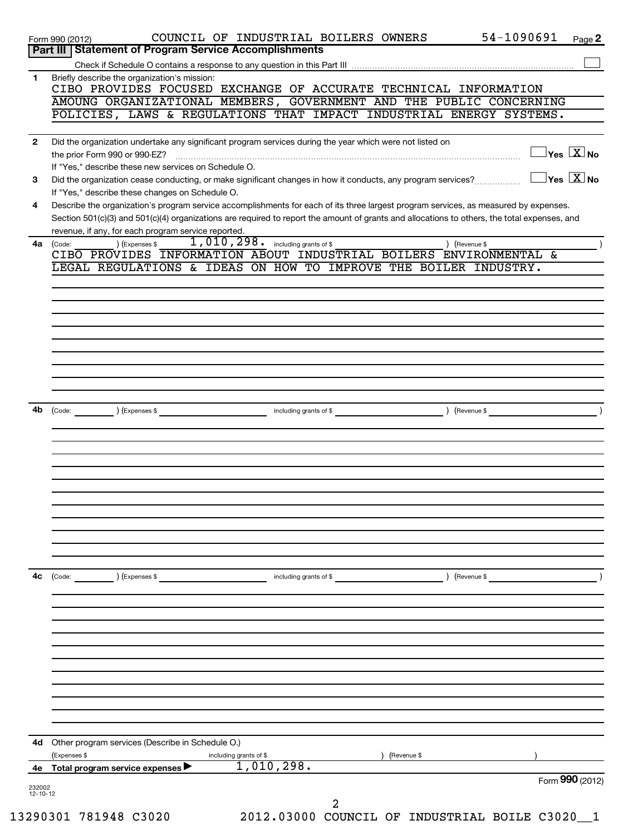| 1.           | Briefly describe the organization's mission:<br>CIBO PROVIDES FOCUSED EXCHANGE OF ACCURATE TECHNICAL INFORMATION                                                                                                                                                                                                                                                                                                                                                     |
|--------------|----------------------------------------------------------------------------------------------------------------------------------------------------------------------------------------------------------------------------------------------------------------------------------------------------------------------------------------------------------------------------------------------------------------------------------------------------------------------|
|              | AMOUNG ORGANIZATIONAL MEMBERS, GOVERNMENT AND THE PUBLIC CONCERNING                                                                                                                                                                                                                                                                                                                                                                                                  |
|              | POLICIES, LAWS & REGULATIONS THAT IMPACT INDUSTRIAL ENERGY SYSTEMS.                                                                                                                                                                                                                                                                                                                                                                                                  |
| $\mathbf{2}$ | Did the organization undertake any significant program services during the year which were not listed on                                                                                                                                                                                                                                                                                                                                                             |
|              | $\exists$ Yes $\boxed{\text{X}}$ No<br>$\begin{bmatrix} \begin{bmatrix} 0 & 0 & 0 & 0 \\ 0 & 0 & 0 & 0 \\ 0 & 0 & 0 & 0 \\ 0 & 0 & 0 & 0 \\ 0 & 0 & 0 & 0 \\ 0 & 0 & 0 & 0 \\ 0 & 0 & 0 & 0 \\ 0 & 0 & 0 & 0 & 0 \\ 0 & 0 & 0 & 0 & 0 \\ 0 & 0 & 0 & 0 & 0 \\ 0 & 0 & 0 & 0 & 0 \\ 0 & 0 & 0 & 0 & 0 \\ 0 & 0 & 0 & 0 & 0 & 0 \\ 0 & 0 & 0 & 0 & 0 & 0 \\ 0 & 0 & 0 & 0 & $<br>the prior Form 990 or 990-EZ?<br>If "Yes," describe these new services on Schedule O. |
| 3            | $\overline{\ }$ Yes $\overline{\phantom{a}X}$ No<br>Did the organization cease conducting, or make significant changes in how it conducts, any program services?                                                                                                                                                                                                                                                                                                     |
|              | If "Yes," describe these changes on Schedule O.                                                                                                                                                                                                                                                                                                                                                                                                                      |
| 4            | Describe the organization's program service accomplishments for each of its three largest program services, as measured by expenses.<br>Section 501(c)(3) and 501(c)(4) organizations are required to report the amount of grants and allocations to others, the total expenses, and                                                                                                                                                                                 |
|              | revenue, if any, for each program service reported.                                                                                                                                                                                                                                                                                                                                                                                                                  |
| 4a           | 1,010,298. including grants of \$<br>) (Expenses \$<br>(Code:<br>) (Revenue \$<br>CIBO PROVIDES INFORMATION ABOUT INDUSTRIAL BOILERS ENVIRONMENTAL &                                                                                                                                                                                                                                                                                                                 |
|              | LEGAL REGULATIONS & IDEAS ON HOW TO IMPROVE THE BOILER INDUSTRY.                                                                                                                                                                                                                                                                                                                                                                                                     |
|              |                                                                                                                                                                                                                                                                                                                                                                                                                                                                      |
|              |                                                                                                                                                                                                                                                                                                                                                                                                                                                                      |
|              |                                                                                                                                                                                                                                                                                                                                                                                                                                                                      |
|              |                                                                                                                                                                                                                                                                                                                                                                                                                                                                      |
|              |                                                                                                                                                                                                                                                                                                                                                                                                                                                                      |
|              |                                                                                                                                                                                                                                                                                                                                                                                                                                                                      |
|              |                                                                                                                                                                                                                                                                                                                                                                                                                                                                      |
| 4b           | (Expenses \$<br>including grants of \$<br>(Revenue \$<br>(Code:                                                                                                                                                                                                                                                                                                                                                                                                      |
|              |                                                                                                                                                                                                                                                                                                                                                                                                                                                                      |
|              |                                                                                                                                                                                                                                                                                                                                                                                                                                                                      |
|              |                                                                                                                                                                                                                                                                                                                                                                                                                                                                      |
|              |                                                                                                                                                                                                                                                                                                                                                                                                                                                                      |
|              |                                                                                                                                                                                                                                                                                                                                                                                                                                                                      |
|              |                                                                                                                                                                                                                                                                                                                                                                                                                                                                      |
|              |                                                                                                                                                                                                                                                                                                                                                                                                                                                                      |
|              |                                                                                                                                                                                                                                                                                                                                                                                                                                                                      |
|              |                                                                                                                                                                                                                                                                                                                                                                                                                                                                      |
| 4с           | (Code:<br>(Expenses \$<br>) (Revenue \$<br>including grants of \$                                                                                                                                                                                                                                                                                                                                                                                                    |
|              |                                                                                                                                                                                                                                                                                                                                                                                                                                                                      |
|              |                                                                                                                                                                                                                                                                                                                                                                                                                                                                      |
|              |                                                                                                                                                                                                                                                                                                                                                                                                                                                                      |
|              |                                                                                                                                                                                                                                                                                                                                                                                                                                                                      |
|              |                                                                                                                                                                                                                                                                                                                                                                                                                                                                      |
|              |                                                                                                                                                                                                                                                                                                                                                                                                                                                                      |
|              |                                                                                                                                                                                                                                                                                                                                                                                                                                                                      |
|              |                                                                                                                                                                                                                                                                                                                                                                                                                                                                      |
|              |                                                                                                                                                                                                                                                                                                                                                                                                                                                                      |
| 4d           | Other program services (Describe in Schedule O.)                                                                                                                                                                                                                                                                                                                                                                                                                     |
| 4е           | (Expenses \$<br>including grants of \$<br>(Revenue \$<br>1,010,298.<br>Total program service expenses                                                                                                                                                                                                                                                                                                                                                                |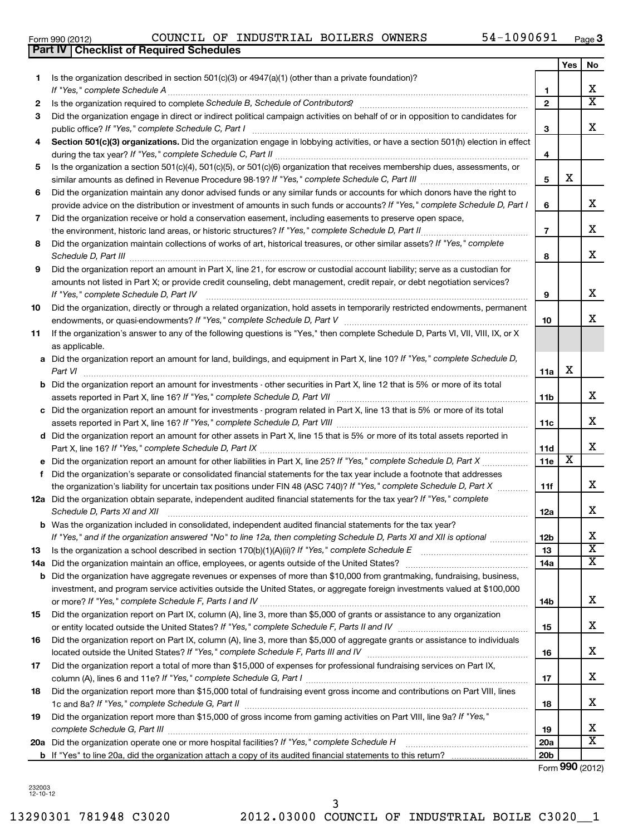|     | <b>Part IV   Checklist of Required Schedules</b>                                                                                                                                                                                    |                          |     |                         |
|-----|-------------------------------------------------------------------------------------------------------------------------------------------------------------------------------------------------------------------------------------|--------------------------|-----|-------------------------|
|     |                                                                                                                                                                                                                                     |                          | Yes | No                      |
| 1   | Is the organization described in section 501(c)(3) or 4947(a)(1) (other than a private foundation)?                                                                                                                                 |                          |     |                         |
|     |                                                                                                                                                                                                                                     | $\mathbf{1}$             |     | X                       |
| 2   |                                                                                                                                                                                                                                     | $\mathbf{2}$             |     | $\overline{\textbf{x}}$ |
| 3   | Did the organization engage in direct or indirect political campaign activities on behalf of or in opposition to candidates for                                                                                                     |                          |     |                         |
|     |                                                                                                                                                                                                                                     | 3                        |     | х                       |
| 4   | Section 501(c)(3) organizations. Did the organization engage in lobbying activities, or have a section 501(h) election in effect                                                                                                    |                          |     |                         |
|     |                                                                                                                                                                                                                                     | 4                        |     |                         |
| 5   | Is the organization a section 501(c)(4), 501(c)(5), or 501(c)(6) organization that receives membership dues, assessments, or                                                                                                        |                          |     |                         |
|     |                                                                                                                                                                                                                                     | 5                        | х   |                         |
| 6   | Did the organization maintain any donor advised funds or any similar funds or accounts for which donors have the right to                                                                                                           |                          |     |                         |
|     | provide advice on the distribution or investment of amounts in such funds or accounts? If "Yes," complete Schedule D, Part I                                                                                                        | 6                        |     | x                       |
| 7   | Did the organization receive or hold a conservation easement, including easements to preserve open space,                                                                                                                           |                          |     |                         |
|     |                                                                                                                                                                                                                                     | $\overline{\phantom{a}}$ |     | х                       |
| 8   | Did the organization maintain collections of works of art, historical treasures, or other similar assets? If "Yes," complete                                                                                                        |                          |     |                         |
|     | Schedule D, Part III <b>Process Construction Construction Construction</b> Construction Construction Construction Construction Construction Construction Construction Construction Construction Construction Construction Construct | 8                        |     | x                       |
| 9   | Did the organization report an amount in Part X, line 21, for escrow or custodial account liability; serve as a custodian for                                                                                                       |                          |     |                         |
|     | amounts not listed in Part X; or provide credit counseling, debt management, credit repair, or debt negotiation services?                                                                                                           |                          |     |                         |
|     | If "Yes," complete Schedule D, Part IV                                                                                                                                                                                              | 9                        |     | х                       |
| 10  | Did the organization, directly or through a related organization, hold assets in temporarily restricted endowments, permanent                                                                                                       |                          |     |                         |
|     |                                                                                                                                                                                                                                     | 10                       |     | x                       |
| 11  | If the organization's answer to any of the following questions is "Yes," then complete Schedule D, Parts VI, VII, VIII, IX, or X                                                                                                    |                          |     |                         |
|     | as applicable.                                                                                                                                                                                                                      |                          |     |                         |
|     | a Did the organization report an amount for land, buildings, and equipment in Part X, line 10? If "Yes," complete Schedule D,                                                                                                       |                          |     |                         |
|     | Part VI                                                                                                                                                                                                                             | 11a                      | X   |                         |
|     | <b>b</b> Did the organization report an amount for investments - other securities in Part X, line 12 that is 5% or more of its total                                                                                                |                          |     |                         |
|     |                                                                                                                                                                                                                                     | 11b                      |     | x                       |
|     | c Did the organization report an amount for investments - program related in Part X, line 13 that is 5% or more of its total                                                                                                        |                          |     |                         |
|     |                                                                                                                                                                                                                                     | 11c                      |     | х                       |
|     | d Did the organization report an amount for other assets in Part X, line 15 that is 5% or more of its total assets reported in                                                                                                      |                          |     |                         |
|     |                                                                                                                                                                                                                                     | 11d                      |     | X                       |
|     |                                                                                                                                                                                                                                     | 11e                      | X   |                         |
| f   | Did the organization's separate or consolidated financial statements for the tax year include a footnote that addresses                                                                                                             |                          |     |                         |
|     | the organization's liability for uncertain tax positions under FIN 48 (ASC 740)? If "Yes," complete Schedule D, Part X                                                                                                              | 11f                      |     | x                       |
|     | 12a Did the organization obtain separate, independent audited financial statements for the tax year? If "Yes," complete                                                                                                             |                          |     |                         |
|     | Schedule D, Parts XI and XII                                                                                                                                                                                                        | 12a                      |     | x                       |
|     | <b>b</b> Was the organization included in consolidated, independent audited financial statements for the tax year?                                                                                                                  |                          |     |                         |
|     | If "Yes," and if the organization answered "No" to line 12a, then completing Schedule D, Parts XI and XII is optional                                                                                                               | 12b                      |     | x                       |
| 13  |                                                                                                                                                                                                                                     | 13                       |     | $\overline{\textbf{x}}$ |
| 14a |                                                                                                                                                                                                                                     | 14a                      |     | $\overline{\textbf{x}}$ |
|     | <b>b</b> Did the organization have aggregate revenues or expenses of more than \$10,000 from grantmaking, fundraising, business,                                                                                                    |                          |     |                         |
|     | investment, and program service activities outside the United States, or aggregate foreign investments valued at \$100,000                                                                                                          |                          |     |                         |
|     |                                                                                                                                                                                                                                     | 14b                      |     | X                       |
| 15  | Did the organization report on Part IX, column (A), line 3, more than \$5,000 of grants or assistance to any organization                                                                                                           |                          |     |                         |
|     |                                                                                                                                                                                                                                     | 15                       |     | x                       |
| 16  | Did the organization report on Part IX, column (A), line 3, more than \$5,000 of aggregate grants or assistance to individuals                                                                                                      |                          |     |                         |
|     |                                                                                                                                                                                                                                     | 16                       |     | x                       |
| 17  | Did the organization report a total of more than \$15,000 of expenses for professional fundraising services on Part IX,                                                                                                             |                          |     |                         |
|     |                                                                                                                                                                                                                                     | 17                       |     | x                       |
| 18  | Did the organization report more than \$15,000 total of fundraising event gross income and contributions on Part VIII, lines                                                                                                        |                          |     |                         |
|     |                                                                                                                                                                                                                                     | 18                       |     | x                       |
| 19  | Did the organization report more than \$15,000 of gross income from gaming activities on Part VIII, line 9a? If "Yes,"                                                                                                              |                          |     |                         |
|     |                                                                                                                                                                                                                                     | 19                       |     | x                       |
|     | 20a Did the organization operate one or more hospital facilities? If "Yes," complete Schedule H                                                                                                                                     | 20a                      |     | $\overline{\mathbf{X}}$ |

**b** If "Yes" to line 20a, did the organization attach a copy of its audited financial statements to this return?

**20b**

Form (2012) **990**

13290301 781948 C3020 2012.03000 COUNCIL OF INDUSTRIAL BOILE C3020\_\_1 3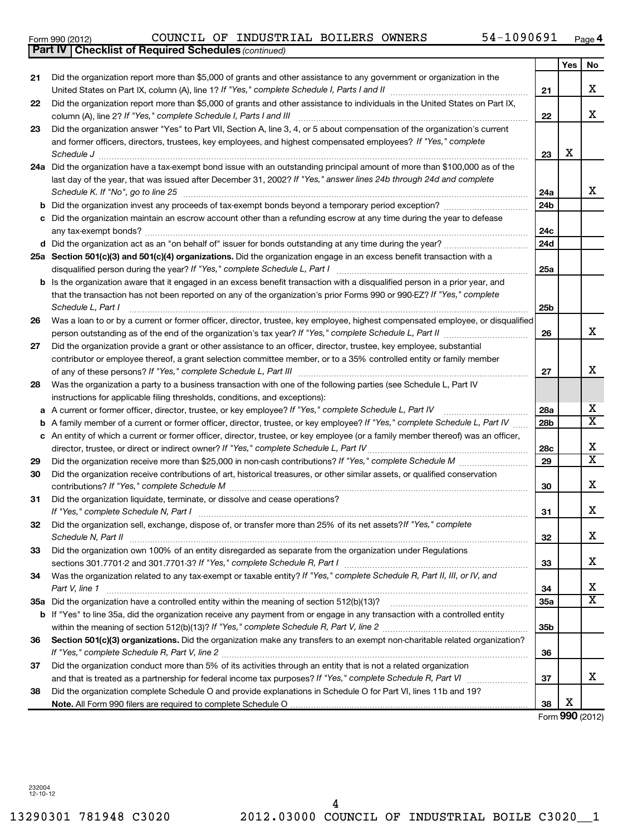13290301 781948 C3020 2012.03000 COUNCIL OF INDUSTRIAL BOILE C3020\_\_1 4

|       | Part IV   Checklist of Required Schedules (continued)                                                                                                                                                                                                                               |     |
|-------|-------------------------------------------------------------------------------------------------------------------------------------------------------------------------------------------------------------------------------------------------------------------------------------|-----|
|       |                                                                                                                                                                                                                                                                                     |     |
| 21    | Did the organization report more than \$5,000 of grants and other assistance to any government or organization in the<br>United States on Part IX, column (A), line 1? If "Yes," complete Schedule I, Parts I and II                                                                | 21  |
| 22.   | Did the organization report more than \$5,000 of grants and other assistance to individuals in the United States on Part IX,                                                                                                                                                        | 22  |
| 23.   | Did the organization answer "Yes" to Part VII, Section A, line 3, 4, or 5 about compensation of the organization's current<br>and former officers, directors, trustees, key employees, and highest compensated employees? If "Yes," complete<br>Schedule J                          | 23  |
| 24a - | Did the organization have a tax-exempt bond issue with an outstanding principal amount of more than \$100,000 as of the<br>last day of the year, that was issued after December 31, 2002? If "Yes," answer lines 24b through 24d and complete<br>Schedule K. If "No", go to line 25 | 24а |

| <b>b</b> Did the organization invest any proceeds of tax-exempt bonds bevond a temporary period exception?             |
|------------------------------------------------------------------------------------------------------------------------|
| c Did the organization maintain an escrow account other than a refunding escrow at any time during the year to defease |
| any tax-exempt bonds?                                                                                                  |
| <b>d</b> Did the organization act as an "on behalf of" issuer for bonds outstanding at any time during the year?       |

### **25 a Section 501(c)(3) and 501(c)(4) organizations.**  Did the organization engage in an excess benefit transaction with a **b** Is the organization aware that it engaged in an excess benefit transaction with a disqualified person in a prior year, and *If "Yes," complete Schedule L, Part I* disqualified person during the year? ~~~~~~~~~~~~~~~~~~~~~~~~~

# that the transaction has not been reported on any of the organization's prior Forms 990 or 990-EZ? If "Yes," complete *Schedule L, Part I* ~~~~~~~~~~~~~~~~~~~~~~~~~~~~~~~~~~~~~~~~~~~~~~~~~~~~

| 26 Was a loan to or by a current or former officer, director, trustee, key employee, highest compensated employee, or disqualified |  |  |  |  |  |  |  |  |
|------------------------------------------------------------------------------------------------------------------------------------|--|--|--|--|--|--|--|--|
| person outstanding as of the end of the organization's tax year? If "Yes," complete Schedule L, Part II                            |  |  |  |  |  |  |  |  |
|                                                                                                                                    |  |  |  |  |  |  |  |  |

| 27 | Did the organization provide a grant or other assistance to an officer, director, trustee, key employee, substantial |
|----|----------------------------------------------------------------------------------------------------------------------|
|    | contributor or employee thereof, a grant selection committee member, or to a 35% controlled entity or family member  |
|    | of any of these persons? If "Yes," complete Schedule L, Part III                                                     |
| 28 | Was the organization a party to a business transaction with one of the following parties (see Schedule L, Part IV    |
|    | instructions for annicable filing thresholds, conditions, and exceptions):                                           |

|    | instructions for applicable filing thresholds, conditions, and exceptions):                                                                                                                                                 |                 |   |
|----|-----------------------------------------------------------------------------------------------------------------------------------------------------------------------------------------------------------------------------|-----------------|---|
|    | a A current or former officer, director, trustee, or key employee? If "Yes," complete Schedule L, Part IV                                                                                                                   | 28a             | х |
|    | <b>b</b> A family member of a current or former officer, director, trustee, or key employee? If "Yes," complete Schedule L, Part IV                                                                                         | 28 <sub>b</sub> | х |
|    | c An entity of which a current or former officer, director, trustee, or key employee (or a family member thereof) was an officer,<br>director, trustee, or direct or indirect owner? If "Yes," complete Schedule L, Part IV | 28 <sub>c</sub> | X |
| 29 | Did the organization receive more than \$25,000 in non-cash contributions? If "Yes," complete Schedule M                                                                                                                    | 29              | х |
| 30 | Did the organization receive contributions of art, historical treasures, or other similar assets, or qualified conservation<br>contributions? If "Yes," complete Schedule M                                                 | 30              | X |
| 31 | Did the organization liquidate, terminate, or dissolve and cease operations?<br>If "Yes." complete Schedule N. Part I                                                                                                       | 31              |   |

#### **31 32 33 34 35 a** Did the organization have a controlled entity within the meaning of section 512(b)(13)? ~~~~~~~~~~~~~~~~~~ **36 31 32 33 34 35a 35b b** If "Yes" to line 35a, did the organization receive any payment from or engage in any transaction with a controlled entity Section 501(c)(3) organizations. Did the organization make any transfers to an exempt non-charitable related organization? *If "Yes," complete Schedule N, Part I* ~~~~~~~~~~~~~~~~~~~~~~~~~~~~~~~~~~~~~~~~~~~ Did the organization sell, exchange, dispose of, or transfer more than 25% of its net assets?If "Yes," complete *Schedule N, Part II* ~~~~~~~~~~~~~~~~~~~~~~~~~~~~~~~~~~~~~~~~~~~~~~~~~~~~ *If "Yes," complete Schedule R, Part I* sections 301.7701-2 and 301.7701-3? ~~~~~~~~~~~~~~~~~~~~~~~~ Was the organization related to any tax-exempt or taxable entity? If "Yes," complete Schedule R, Part II, III, or IV, and *Part V, line 1* ~~~~~~~~~~~~~~~~~~~~~~~~~~~~~~~~~~~~~~~~~~~~~~~~~~~~~~~ *If "Yes," complete Schedule R, Part V, line 2* within the meaning of section 512(b)(13)? ~~~~~~~~~~~~~~~~~~~ Did the organization own 100% of an entity disregarded as separate from the organization under Regulations

**37 38 Note.**  All Form 990 filers are required to complete Schedule O *If "Yes," complete Schedule R, Part V, line 2* ~~~~~~~~~~~~~~~~~~~~~~~~~~~~~~~~~~~~~~~~ and that is treated as a partnership for federal income tax purposes? If "Yes," complete Schedule R, Part VI medi Did the organization conduct more than 5% of its activities through an entity that is not a related organization Did the organization complete Schedule O and provide explanations in Schedule O for Part VI, lines 11b and 19?

Form (2012) **990**

**36**

**37**

**38**

X

**24b**

**24c 24d**

**25a**

**25b**

**26**

**27**

**Yes No**

X

X

X

X

X

X

X

X

X  $\overline{\text{x}}$ 

X

**21**

**22**

**23**

**24 a**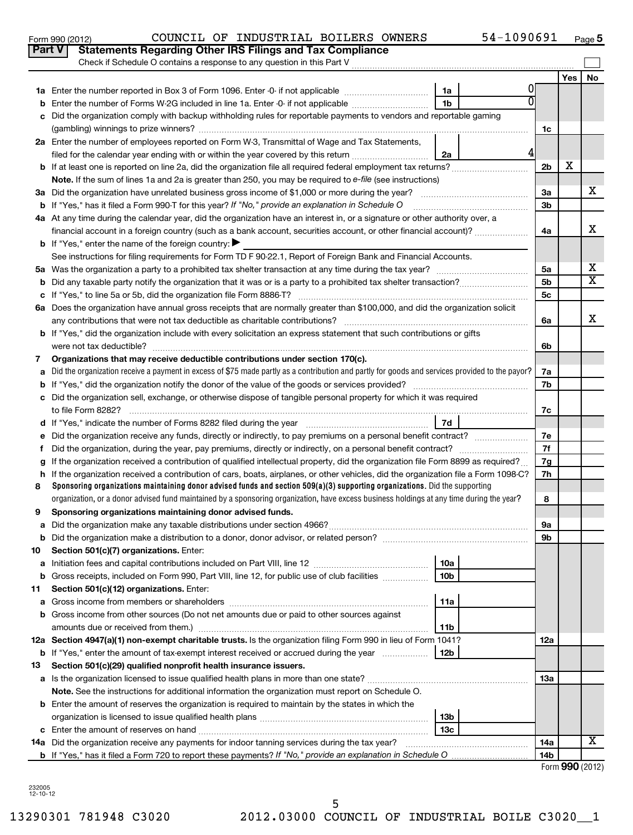|    |                                                                                                                                                 |                | Yes | No                      |  |  |  |  |  |  |
|----|-------------------------------------------------------------------------------------------------------------------------------------------------|----------------|-----|-------------------------|--|--|--|--|--|--|
| 1а | 0<br>1a<br>Enter the number reported in Box 3 of Form 1096. Enter -0- if not applicable                                                         |                |     |                         |  |  |  |  |  |  |
| b  | 1 <sub>b</sub><br>Enter the number of Forms W-2G included in line 1a. Enter -0- if not applicable                                               |                |     |                         |  |  |  |  |  |  |
| c  | Did the organization comply with backup withholding rules for reportable payments to vendors and reportable gaming                              |                |     |                         |  |  |  |  |  |  |
|    |                                                                                                                                                 | 1c             |     |                         |  |  |  |  |  |  |
|    | 2a Enter the number of employees reported on Form W-3, Transmittal of Wage and Tax Statements,                                                  |                |     |                         |  |  |  |  |  |  |
|    | 2a<br>filed for the calendar year ending with or within the year covered by this return                                                         |                |     |                         |  |  |  |  |  |  |
| b  |                                                                                                                                                 | 2b             | х   |                         |  |  |  |  |  |  |
|    | Note. If the sum of lines 1a and 2a is greater than 250, you may be required to e-file (see instructions)                                       |                |     |                         |  |  |  |  |  |  |
|    |                                                                                                                                                 | За             |     | x                       |  |  |  |  |  |  |
|    | <b>b</b> If "Yes," has it filed a Form 990-T for this year? If "No," provide an explanation in Schedule O                                       | 3b             |     |                         |  |  |  |  |  |  |
|    | 4a At any time during the calendar year, did the organization have an interest in, or a signature or other authority over, a                    |                |     |                         |  |  |  |  |  |  |
|    | financial account in a foreign country (such as a bank account, securities account, or other financial account)?                                | 4a             |     | x                       |  |  |  |  |  |  |
|    | <b>b</b> If "Yes," enter the name of the foreign country:                                                                                       |                |     |                         |  |  |  |  |  |  |
|    | See instructions for filing requirements for Form TD F 90-22.1, Report of Foreign Bank and Financial Accounts.                                  |                |     |                         |  |  |  |  |  |  |
| 5а |                                                                                                                                                 | 5a             |     | х                       |  |  |  |  |  |  |
| b  |                                                                                                                                                 | 5 <sub>b</sub> |     | $\overline{\texttt{x}}$ |  |  |  |  |  |  |
| с  |                                                                                                                                                 |                |     |                         |  |  |  |  |  |  |
|    | 6a Does the organization have annual gross receipts that are normally greater than \$100,000, and did the organization solicit                  | 5c             |     |                         |  |  |  |  |  |  |
|    |                                                                                                                                                 | 6a             |     | X                       |  |  |  |  |  |  |
|    | <b>b</b> If "Yes," did the organization include with every solicitation an express statement that such contributions or gifts                   |                |     |                         |  |  |  |  |  |  |
|    |                                                                                                                                                 | 6b             |     |                         |  |  |  |  |  |  |
| 7  | Organizations that may receive deductible contributions under section 170(c).                                                                   |                |     |                         |  |  |  |  |  |  |
| a  | Did the organization receive a payment in excess of \$75 made partly as a contribution and partly for goods and services provided to the payor? | 7a             |     |                         |  |  |  |  |  |  |
| b  |                                                                                                                                                 | 7b             |     |                         |  |  |  |  |  |  |
| c  | Did the organization sell, exchange, or otherwise dispose of tangible personal property for which it was required                               |                |     |                         |  |  |  |  |  |  |
|    |                                                                                                                                                 | 7c             |     |                         |  |  |  |  |  |  |
| d  | 7d                                                                                                                                              |                |     |                         |  |  |  |  |  |  |
|    | Did the organization receive any funds, directly or indirectly, to pay premiums on a personal benefit contract?                                 | 7е             |     |                         |  |  |  |  |  |  |
| f  |                                                                                                                                                 | 7f             |     |                         |  |  |  |  |  |  |
| g  | If the organization received a contribution of qualified intellectual property, did the organization file Form 8899 as required?                | 7g             |     |                         |  |  |  |  |  |  |
| h  | If the organization received a contribution of cars, boats, airplanes, or other vehicles, did the organization file a Form 1098-C?              | 7h             |     |                         |  |  |  |  |  |  |
| 8  | Sponsoring organizations maintaining donor advised funds and section $509(a)(3)$ supporting organizations. Did the supporting                   |                |     |                         |  |  |  |  |  |  |
|    | organization, or a donor advised fund maintained by a sponsoring organization, have excess business holdings at any time during the year?       | 8              |     |                         |  |  |  |  |  |  |
| 9  | Sponsoring organizations maintaining donor advised funds.                                                                                       |                |     |                         |  |  |  |  |  |  |
| a  |                                                                                                                                                 | 9а             |     |                         |  |  |  |  |  |  |
|    |                                                                                                                                                 | 9b             |     |                         |  |  |  |  |  |  |
| 10 | Section 501(c)(7) organizations. Enter:                                                                                                         |                |     |                         |  |  |  |  |  |  |
| а  | 10a                                                                                                                                             |                |     |                         |  |  |  |  |  |  |
| b  | 10 <sub>b</sub><br>Gross receipts, included on Form 990, Part VIII, line 12, for public use of club facilities                                  |                |     |                         |  |  |  |  |  |  |
| 11 | Section 501(c)(12) organizations. Enter:                                                                                                        |                |     |                         |  |  |  |  |  |  |
| а  | 11a                                                                                                                                             |                |     |                         |  |  |  |  |  |  |
| b  | Gross income from other sources (Do not net amounts due or paid to other sources against                                                        |                |     |                         |  |  |  |  |  |  |
|    | 11 <sub>b</sub><br>amounts due or received from them.)                                                                                          |                |     |                         |  |  |  |  |  |  |
|    | 12a Section 4947(a)(1) non-exempt charitable trusts. Is the organization filing Form 990 in lieu of Form 1041?                                  | 12a            |     |                         |  |  |  |  |  |  |
|    | 12b<br><b>b</b> If "Yes," enter the amount of tax-exempt interest received or accrued during the year                                           |                |     |                         |  |  |  |  |  |  |
| 13 | Section 501(c)(29) qualified nonprofit health insurance issuers.                                                                                |                |     |                         |  |  |  |  |  |  |
|    | a Is the organization licensed to issue qualified health plans in more than one state?                                                          | 13a            |     |                         |  |  |  |  |  |  |
|    | Note. See the instructions for additional information the organization must report on Schedule O.                                               |                |     |                         |  |  |  |  |  |  |
|    | <b>b</b> Enter the amount of reserves the organization is required to maintain by the states in which the                                       |                |     |                         |  |  |  |  |  |  |
|    | 13 <sub>b</sub>                                                                                                                                 |                |     |                         |  |  |  |  |  |  |
|    | 13 <sub>c</sub>                                                                                                                                 |                |     |                         |  |  |  |  |  |  |
|    | 14a Did the organization receive any payments for indoor tanning services during the tax year?                                                  | 14a            |     | x                       |  |  |  |  |  |  |
|    | <b>b</b> If "Yes," has it filed a Form 720 to report these payments? If "No," provide an explanation in Schedule O                              | 14b            |     |                         |  |  |  |  |  |  |

Form (2012) **990**

232005 12-10-12

Check if Schedule O contains a response to any question in this Part V **Part V Statements Regarding Other IRS Filings and Tax Compliance**

 $\sim$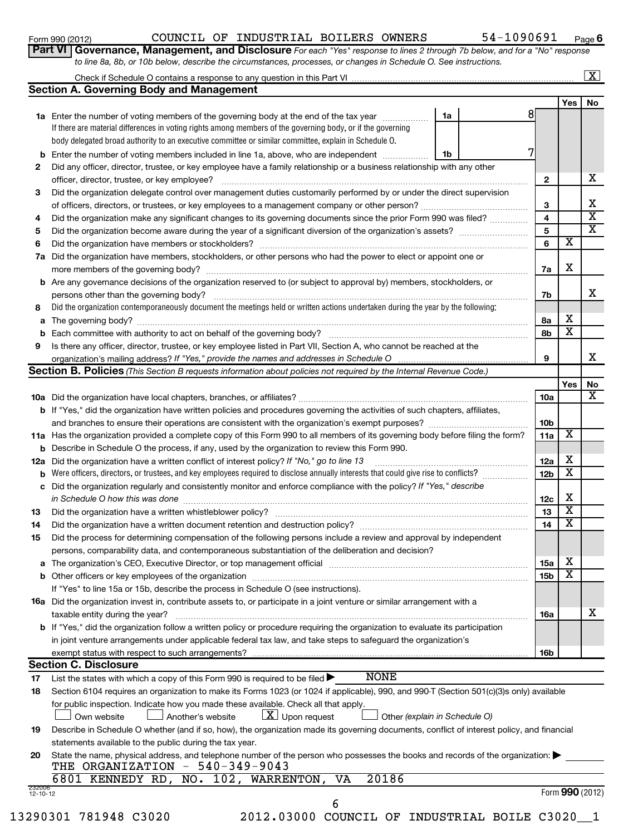### Form 990 (2012)  $\,$  COUNCIL OF INDUSTRIAL BOILERS OWNERS  $\,$  54-1090691  $\,$  Page

**6**

| <b>t VI   Governance, Management, and Disclosure</b> For each "Yes" response to lines 2 through 7b below, and for a "No" response |  |  |  |  |
|-----------------------------------------------------------------------------------------------------------------------------------|--|--|--|--|
| to line 8a, 8b, or 10b below, describe the circumstances, processes, or changes in Schedule O. See instructions.                  |  |  |  |  |

|                                                                                                                            | <b>Fail VI   GOVENTANCE, Management, and Disclosule</b> For each rest response to lines z through 7D below, and for a TNO Tesponse<br>to line 8a, 8b, or 10b below, describe the circumstances, processes, or changes in Schedule O. See instructions. |    |    |     |                     |  |  |
|----------------------------------------------------------------------------------------------------------------------------|--------------------------------------------------------------------------------------------------------------------------------------------------------------------------------------------------------------------------------------------------------|----|----|-----|---------------------|--|--|
|                                                                                                                            |                                                                                                                                                                                                                                                        |    |    |     | $\lfloor x \rfloor$ |  |  |
|                                                                                                                            | <b>Section A. Governing Body and Management</b>                                                                                                                                                                                                        |    |    |     |                     |  |  |
|                                                                                                                            |                                                                                                                                                                                                                                                        |    |    | Yes | No                  |  |  |
|                                                                                                                            | 1a Enter the number of voting members of the governing body at the end of the tax year                                                                                                                                                                 | 1a |    |     |                     |  |  |
|                                                                                                                            | If there are material differences in voting rights among members of the governing body, or if the governing                                                                                                                                            |    |    |     |                     |  |  |
|                                                                                                                            | body delegated broad authority to an executive committee or similar committee, explain in Schedule O.                                                                                                                                                  |    |    |     |                     |  |  |
| b                                                                                                                          | Enter the number of voting members included in line 1a, above, who are independent                                                                                                                                                                     | 1b |    |     |                     |  |  |
| 2                                                                                                                          | Did any officer, director, trustee, or key employee have a family relationship or a business relationship with any other                                                                                                                               |    |    |     |                     |  |  |
|                                                                                                                            |                                                                                                                                                                                                                                                        |    | 2  |     | x                   |  |  |
| Did the organization delegate control over management duties customarily performed by or under the direct supervision<br>3 |                                                                                                                                                                                                                                                        |    |    |     |                     |  |  |
|                                                                                                                            |                                                                                                                                                                                                                                                        |    |    |     |                     |  |  |
| 4                                                                                                                          | Did the organization make any significant changes to its governing documents since the prior Form 990 was filed?                                                                                                                                       |    |    |     |                     |  |  |
| 5                                                                                                                          |                                                                                                                                                                                                                                                        |    | 5  |     | X                   |  |  |
| 6                                                                                                                          | Did the organization have members or stockholders?                                                                                                                                                                                                     |    | 6  | x   |                     |  |  |
| 7a                                                                                                                         | Did the organization have members, stockholders, or other persons who had the power to elect or appoint one or                                                                                                                                         |    |    |     |                     |  |  |
|                                                                                                                            | more members of the governing body?                                                                                                                                                                                                                    |    | 7a | x   |                     |  |  |
|                                                                                                                            | <b>b</b> Are any governance decisions of the organization reserved to (or subject to approval by) members, stockholders, or                                                                                                                            |    |    |     |                     |  |  |
|                                                                                                                            | persons other than the governing body?                                                                                                                                                                                                                 |    | 7b |     | x                   |  |  |
| 8                                                                                                                          | Did the organization contemporaneously document the meetings held or written actions undertaken during the year by the following:                                                                                                                      |    |    |     |                     |  |  |
| а                                                                                                                          | The governing body?                                                                                                                                                                                                                                    |    | 8а | х   |                     |  |  |
| Each committee with authority to act on behalf of the governing body?<br>b                                                 |                                                                                                                                                                                                                                                        |    |    |     |                     |  |  |
| Is there any officer, director, trustee, or key employee listed in Part VII, Section A, who cannot be reached at the<br>9  |                                                                                                                                                                                                                                                        |    |    |     |                     |  |  |
|                                                                                                                            | organization's mailing address? If "Yes," provide the names and addresses in Schedule O<br>9                                                                                                                                                           |    |    |     |                     |  |  |

|     | <b>Section B. Policies</b> (This Section B requests information about policies not required by the Internal Revenue Code.)                                                                                               |                 |                         |    |  |  |  |
|-----|--------------------------------------------------------------------------------------------------------------------------------------------------------------------------------------------------------------------------|-----------------|-------------------------|----|--|--|--|
|     |                                                                                                                                                                                                                          |                 | Yes                     | No |  |  |  |
|     |                                                                                                                                                                                                                          | 10a             |                         | X  |  |  |  |
|     | <b>b</b> If "Yes," did the organization have written policies and procedures governing the activities of such chapters, affiliates,                                                                                      |                 |                         |    |  |  |  |
|     | and branches to ensure their operations are consistent with the organization's exempt purposes?                                                                                                                          | 10 <sub>b</sub> |                         |    |  |  |  |
|     | 11a Has the organization provided a complete copy of this Form 990 to all members of its governing body before filing the form?                                                                                          | 11a             | $\overline{\texttt{x}}$ |    |  |  |  |
|     | <b>b</b> Describe in Schedule O the process, if any, used by the organization to review this Form 990.                                                                                                                   |                 |                         |    |  |  |  |
| 12a | Did the organization have a written conflict of interest policy? If "No," go to line 13                                                                                                                                  | 12a             | х                       |    |  |  |  |
| b   | Were officers, directors, or trustees, and key employees required to disclose annually interests that could give rise to conflicts?                                                                                      | 12 <sub>b</sub> | X                       |    |  |  |  |
| C   | Did the organization regularly and consistently monitor and enforce compliance with the policy? If "Yes," describe                                                                                                       |                 |                         |    |  |  |  |
|     | in Schedule O how this was done                                                                                                                                                                                          | 12c             | х                       |    |  |  |  |
| 13  | Did the organization have a written whistleblower policy?                                                                                                                                                                | 13              | $\overline{\text{x}}$   |    |  |  |  |
| 14  | Did the organization have a written document retention and destruction policy? [11] manufaction manufaction in                                                                                                           | 14              | $\overline{\textbf{x}}$ |    |  |  |  |
| 15  | Did the process for determining compensation of the following persons include a review and approval by independent                                                                                                       |                 |                         |    |  |  |  |
|     | persons, comparability data, and contemporaneous substantiation of the deliberation and decision?                                                                                                                        |                 |                         |    |  |  |  |
| a   | The organization's CEO, Executive Director, or top management official manufactured content content of the organization's CEO, Executive Director, or top management official manufactured content of the organization's | 15a             | х                       |    |  |  |  |
|     | $\overline{\textbf{x}}$<br>15 <sub>b</sub>                                                                                                                                                                               |                 |                         |    |  |  |  |
|     | If "Yes" to line 15a or 15b, describe the process in Schedule O (see instructions).                                                                                                                                      |                 |                         |    |  |  |  |
|     | <b>16a</b> Did the organization invest in, contribute assets to, or participate in a joint venture or similar arrangement with a                                                                                         |                 |                         |    |  |  |  |
|     | taxable entity during the year?                                                                                                                                                                                          | <b>16a</b>      |                         | x  |  |  |  |
|     | b If "Yes," did the organization follow a written policy or procedure requiring the organization to evaluate its participation                                                                                           |                 |                         |    |  |  |  |
|     | in joint venture arrangements under applicable federal tax law, and take steps to safequard the organization's                                                                                                           |                 |                         |    |  |  |  |
|     |                                                                                                                                                                                                                          | <b>16b</b>      |                         |    |  |  |  |
|     | <b>Section C. Disclosure</b>                                                                                                                                                                                             |                 |                         |    |  |  |  |
| 17  | <b>NONE</b><br>List the states with which a copy of this Form 990 is required to be filed $\blacktriangleright$                                                                                                          |                 |                         |    |  |  |  |
| 18  | Section 6104 requires an organization to make its Forms 1023 (or 1024 if applicable), 990, and 990-T (Section 501(c)(3)s only) available                                                                                 |                 |                         |    |  |  |  |
|     | for public inspection. Indicate how you made these available. Check all that apply.                                                                                                                                      |                 |                         |    |  |  |  |
|     | $\lfloor \underline{X} \rfloor$ Upon request<br>Another's website<br>Other (explain in Schedule O)<br>Own website                                                                                                        |                 |                         |    |  |  |  |
| 19  | Describe in Schedule O whether (and if so, how), the organization made its governing documents, conflict of interest policy, and financial                                                                               |                 |                         |    |  |  |  |
|     | statements available to the public during the tax year.                                                                                                                                                                  |                 |                         |    |  |  |  |
| 20  | State the name, physical address, and telephone number of the person who possesses the books and records of the organization:                                                                                            |                 |                         |    |  |  |  |
|     | THE ORGANIZATION - 540-349-9043                                                                                                                                                                                          |                 |                         |    |  |  |  |
|     | 20186<br>6801 KENNEDY RD, NO. 102, WARRENTON, VA                                                                                                                                                                         |                 |                         |    |  |  |  |

13290301 781948 C3020 2012.03000 COUNCIL OF INDUSTRIAL BOILE C3020\_\_1

232006 12-10-12

6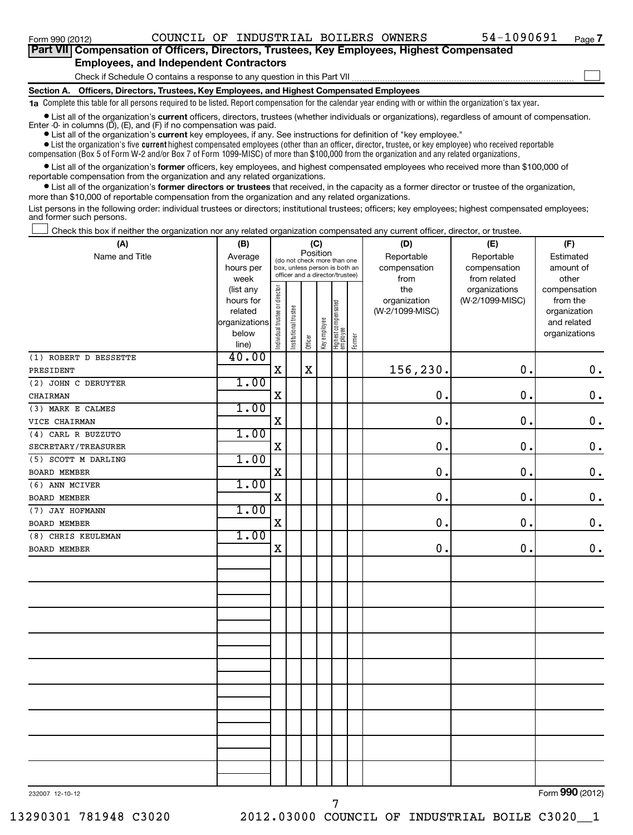| Part VII Compensation of Officers, Directors, Trustees, Key Employees, Highest Compensated |  |
|--------------------------------------------------------------------------------------------|--|
| <b>Employees, and Independent Contractors</b>                                              |  |
| Check if Schedule O contains a response to any question in this Part VII                   |  |
| Section A. Officers, Directors, Trustees, Key Employees, and Highest Compensated Employees |  |

**1a**  Complete this table for all persons required to be listed. Report compensation for the calendar year ending with or within the organization's tax year.

• List all of the organization's current officers, directors, trustees (whether individuals or organizations), regardless of amount of compensation. Enter -0- in columns  $(D)$ ,  $(E)$ , and  $(F)$  if no compensation was paid.

**•** List all of the organization's **current** key employees, if any. See instructions for definition of "key employee."

 $\bullet$  List the organization's five  $\tt current$  highest compensated employees (other than an officer, director, trustee, or key employee) who received reportable compensation (Box 5 of Form W-2 and/or Box 7 of Form 1099-MISC) of more than \$100,000 from the organization and any related organizations .

 $\bullet$  List all of the organization's former officers, key employees, and highest compensated employees who received more than \$100,000 of reportable compensation from the organization and any related organizations.

**•** List all of the organization's former directors or trustees that received, in the capacity as a former director or trustee of the organization, more than \$10,000 of reportable compensation from the organization and any related organizations.

List persons in the following order: individual trustees or directors; institutional trustees; officers; key employees; highest compensated employees; and former such persons.

Check this box if neither the organization nor any related organization compensated any current officer, director, or trustee.  $\Box$ 

| (A)                   | (B)                    | (C)<br>Position                |                       |             |              | (D)                                                              | (E)    | (F)             |                 |               |
|-----------------------|------------------------|--------------------------------|-----------------------|-------------|--------------|------------------------------------------------------------------|--------|-----------------|-----------------|---------------|
| Name and Title        | Average                |                                |                       |             |              | (do not check more than one                                      |        | Reportable      | Reportable      | Estimated     |
|                       | hours per              |                                |                       |             |              | box, unless person is both an<br>officer and a director/trustee) |        | compensation    | compensation    | amount of     |
|                       | week                   |                                |                       |             |              |                                                                  |        | from            | from related    | other         |
|                       | (list any              |                                |                       |             |              |                                                                  |        | the             | organizations   | compensation  |
|                       | hours for              |                                |                       |             |              |                                                                  |        | organization    | (W-2/1099-MISC) | from the      |
|                       | related                |                                |                       |             |              |                                                                  |        | (W-2/1099-MISC) |                 | organization  |
|                       | organizations<br>below |                                |                       |             |              |                                                                  |        |                 |                 | and related   |
|                       | line)                  | Individual trustee or director | Institutional trustee | Officer     | Key employee | Highest compensated<br>employee                                  | Former |                 |                 | organizations |
| (1) ROBERT D BESSETTE | 40.00                  |                                |                       |             |              |                                                                  |        |                 |                 |               |
| PRESIDENT             |                        | $\mathbf X$                    |                       | $\mathbf X$ |              |                                                                  |        | 156,230.        | $\mathbf 0$ .   | $\mathbf 0$ . |
| (2) JOHN C DERUYTER   | 1.00                   |                                |                       |             |              |                                                                  |        |                 |                 |               |
| CHAIRMAN              |                        | $\mathbf X$                    |                       |             |              |                                                                  |        | $\mathbf 0$ .   | $\mathbf 0$ .   | $\mathbf 0$ . |
| (3) MARK E CALMES     | 1.00                   |                                |                       |             |              |                                                                  |        |                 |                 |               |
| VICE CHAIRMAN         |                        | $\mathbf X$                    |                       |             |              |                                                                  |        | $\mathbf 0$ .   | $\mathbf 0$ .   | $\mathbf 0$ . |
| (4) CARL R BUZZUTO    | 1.00                   |                                |                       |             |              |                                                                  |        |                 |                 |               |
| SECRETARY/TREASURER   |                        | $\mathbf X$                    |                       |             |              |                                                                  |        | 0.              | $\mathbf 0$ .   | $\mathbf 0$ . |
| (5) SCOTT M DARLING   | 1.00                   |                                |                       |             |              |                                                                  |        |                 |                 |               |
| BOARD MEMBER          |                        | X                              |                       |             |              |                                                                  |        | 0.              | $\mathbf 0$ .   | $\mathbf 0$ . |
| (6) ANN MCIVER        | 1.00                   |                                |                       |             |              |                                                                  |        |                 |                 |               |
| <b>BOARD MEMBER</b>   |                        | $\mathbf X$                    |                       |             |              |                                                                  |        | $\mathbf 0$ .   | $\mathbf 0$ .   | $\mathbf 0$ . |
| (7) JAY HOFMANN       | 1.00                   |                                |                       |             |              |                                                                  |        |                 |                 |               |
| <b>BOARD MEMBER</b>   |                        | $\mathbf X$                    |                       |             |              |                                                                  |        | $\mathbf 0$ .   | $\mathbf 0$ .   | $\mathbf 0$ . |
| (8) CHRIS KEULEMAN    | 1.00                   |                                |                       |             |              |                                                                  |        |                 |                 |               |
| <b>BOARD MEMBER</b>   |                        | $\mathbf x$                    |                       |             |              |                                                                  |        | $\mathbf 0$ .   | $\mathbf 0$ .   | $\mathbf 0$ . |
|                       |                        |                                |                       |             |              |                                                                  |        |                 |                 |               |
|                       |                        |                                |                       |             |              |                                                                  |        |                 |                 |               |
|                       |                        |                                |                       |             |              |                                                                  |        |                 |                 |               |
|                       |                        |                                |                       |             |              |                                                                  |        |                 |                 |               |
|                       |                        |                                |                       |             |              |                                                                  |        |                 |                 |               |
|                       |                        |                                |                       |             |              |                                                                  |        |                 |                 |               |
|                       |                        |                                |                       |             |              |                                                                  |        |                 |                 |               |
|                       |                        |                                |                       |             |              |                                                                  |        |                 |                 |               |
|                       |                        |                                |                       |             |              |                                                                  |        |                 |                 |               |
|                       |                        |                                |                       |             |              |                                                                  |        |                 |                 |               |
|                       |                        |                                |                       |             |              |                                                                  |        |                 |                 |               |
|                       |                        |                                |                       |             |              |                                                                  |        |                 |                 |               |
|                       |                        |                                |                       |             |              |                                                                  |        |                 |                 |               |
|                       |                        |                                |                       |             |              |                                                                  |        |                 |                 |               |
|                       |                        |                                |                       |             |              |                                                                  |        |                 |                 |               |
|                       |                        |                                |                       |             |              |                                                                  |        |                 |                 |               |

7

232007 12-10-12

Form (2012) **990**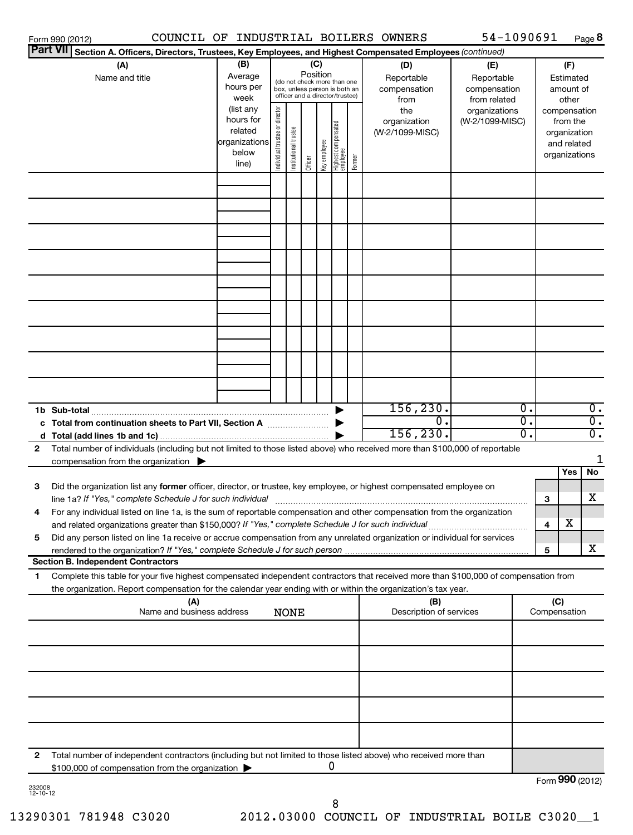| Form 990 (2012)<br><b>Part VII</b><br>Section A. Officers, Directors, Trustees, Key Employees, and Highest Compensated Employees (continued)                                                                                                                 |                                                                      |                                     |                       |          |              |                                                                                                 |        | COUNCIL OF INDUSTRIAL BOILERS OWNERS   | 54-1090691                                 |                        |                                                                          |       | Page 8                               |
|--------------------------------------------------------------------------------------------------------------------------------------------------------------------------------------------------------------------------------------------------------------|----------------------------------------------------------------------|-------------------------------------|-----------------------|----------|--------------|-------------------------------------------------------------------------------------------------|--------|----------------------------------------|--------------------------------------------|------------------------|--------------------------------------------------------------------------|-------|--------------------------------------|
| (A)                                                                                                                                                                                                                                                          | (B)                                                                  |                                     |                       |          | (C)          |                                                                                                 |        | (D)                                    | (E)                                        |                        |                                                                          | (F)   |                                      |
| Name and title                                                                                                                                                                                                                                               | Average<br>hours per<br>week                                         |                                     |                       | Position |              | (do not check more than one<br>box, unless person is both an<br>officer and a director/trustee) |        | Reportable<br>compensation<br>from     | Reportable<br>compensation<br>from related | Estimated<br>amount of |                                                                          | other |                                      |
|                                                                                                                                                                                                                                                              | (list any<br>hours for<br>related<br>organizations<br>below<br>line) | trustee or director<br>Individual t | Institutional trustee | Officer  | Key employee | Highest compensated<br>employee                                                                 | Former | the<br>organization<br>(W-2/1099-MISC) | organizations<br>(W-2/1099-MISC)           |                        | compensation<br>from the<br>organization<br>and related<br>organizations |       |                                      |
|                                                                                                                                                                                                                                                              |                                                                      |                                     |                       |          |              |                                                                                                 |        |                                        |                                            |                        |                                                                          |       |                                      |
|                                                                                                                                                                                                                                                              |                                                                      |                                     |                       |          |              |                                                                                                 |        |                                        |                                            |                        |                                                                          |       |                                      |
|                                                                                                                                                                                                                                                              |                                                                      |                                     |                       |          |              |                                                                                                 |        |                                        |                                            |                        |                                                                          |       |                                      |
|                                                                                                                                                                                                                                                              |                                                                      |                                     |                       |          |              |                                                                                                 |        |                                        |                                            |                        |                                                                          |       |                                      |
|                                                                                                                                                                                                                                                              |                                                                      |                                     |                       |          |              |                                                                                                 |        |                                        |                                            |                        |                                                                          |       |                                      |
|                                                                                                                                                                                                                                                              |                                                                      |                                     |                       |          |              |                                                                                                 |        |                                        |                                            |                        |                                                                          |       |                                      |
|                                                                                                                                                                                                                                                              |                                                                      |                                     |                       |          |              |                                                                                                 |        |                                        |                                            |                        |                                                                          |       |                                      |
|                                                                                                                                                                                                                                                              |                                                                      |                                     |                       |          |              |                                                                                                 |        |                                        |                                            |                        |                                                                          |       |                                      |
|                                                                                                                                                                                                                                                              |                                                                      |                                     |                       |          |              |                                                                                                 |        |                                        |                                            |                        |                                                                          |       |                                      |
|                                                                                                                                                                                                                                                              |                                                                      |                                     |                       |          |              |                                                                                                 |        |                                        |                                            |                        |                                                                          |       |                                      |
|                                                                                                                                                                                                                                                              |                                                                      |                                     |                       |          |              |                                                                                                 |        |                                        |                                            |                        |                                                                          |       |                                      |
| c Total from continuation sheets to Part VII, Section A <b>manual</b> Section A                                                                                                                                                                              |                                                                      |                                     |                       |          |              |                                                                                                 |        | 156, 230.<br>$\Omega$ .                |                                            | σ.<br>σ.               |                                                                          |       | $\overline{0}$ .<br>$\overline{0}$ . |
| Total number of individuals (including but not limited to those listed above) who received more than \$100,000 of reportable<br>$\mathbf{2}$                                                                                                                 |                                                                      |                                     |                       |          |              |                                                                                                 |        | 156, 230.                              |                                            | σ.                     |                                                                          |       | $\overline{0}$ .                     |
| compensation from the organization $\blacktriangleright$                                                                                                                                                                                                     |                                                                      |                                     |                       |          |              |                                                                                                 |        |                                        |                                            |                        |                                                                          |       | 1                                    |
| 3<br>Did the organization list any former officer, director, or trustee, key employee, or highest compensated employee on                                                                                                                                    |                                                                      |                                     |                       |          |              |                                                                                                 |        |                                        |                                            |                        |                                                                          | Yes   | No                                   |
| line 1a? If "Yes," complete Schedule J for such individual [11] manufacture in the term in the set of the set o                                                                                                                                              |                                                                      |                                     |                       |          |              |                                                                                                 |        |                                        |                                            |                        | 3                                                                        |       | х                                    |
| For any individual listed on line 1a, is the sum of reportable compensation and other compensation from the organization<br>4<br>and related organizations greater than \$150,000? If "Yes," complete Schedule J for such individual                         |                                                                      |                                     |                       |          |              |                                                                                                 |        |                                        |                                            |                        | 4                                                                        | х     |                                      |
| Did any person listed on line 1a receive or accrue compensation from any unrelated organization or individual for services<br>5<br>rendered to the organization? If "Yes," complete Schedule J for such person                                               |                                                                      |                                     |                       |          |              |                                                                                                 |        |                                        |                                            |                        | 5                                                                        |       | x                                    |
| <b>Section B. Independent Contractors</b>                                                                                                                                                                                                                    |                                                                      |                                     |                       |          |              |                                                                                                 |        |                                        |                                            |                        |                                                                          |       |                                      |
| Complete this table for your five highest compensated independent contractors that received more than \$100,000 of compensation from<br>1.<br>the organization. Report compensation for the calendar year ending with or within the organization's tax year. |                                                                      |                                     |                       |          |              |                                                                                                 |        |                                        |                                            |                        |                                                                          |       |                                      |
| (A)<br>Name and business address                                                                                                                                                                                                                             |                                                                      |                                     | <b>NONE</b>           |          |              |                                                                                                 |        | (B)<br>Description of services         |                                            |                        | (C)<br>Compensation                                                      |       |                                      |
|                                                                                                                                                                                                                                                              |                                                                      |                                     |                       |          |              |                                                                                                 |        |                                        |                                            |                        |                                                                          |       |                                      |
|                                                                                                                                                                                                                                                              |                                                                      |                                     |                       |          |              |                                                                                                 |        |                                        |                                            |                        |                                                                          |       |                                      |
|                                                                                                                                                                                                                                                              |                                                                      |                                     |                       |          |              |                                                                                                 |        |                                        |                                            |                        |                                                                          |       |                                      |
|                                                                                                                                                                                                                                                              |                                                                      |                                     |                       |          |              |                                                                                                 |        |                                        |                                            |                        |                                                                          |       |                                      |
|                                                                                                                                                                                                                                                              |                                                                      |                                     |                       |          |              |                                                                                                 |        |                                        |                                            |                        |                                                                          |       |                                      |
|                                                                                                                                                                                                                                                              |                                                                      |                                     |                       |          |              |                                                                                                 |        |                                        |                                            |                        |                                                                          |       |                                      |
| Total number of independent contractors (including but not limited to those listed above) who received more than<br>2<br>\$100,000 of compensation from the organization                                                                                     |                                                                      |                                     |                       |          |              | 0                                                                                               |        |                                        |                                            |                        |                                                                          |       |                                      |

232008 12-10-12

8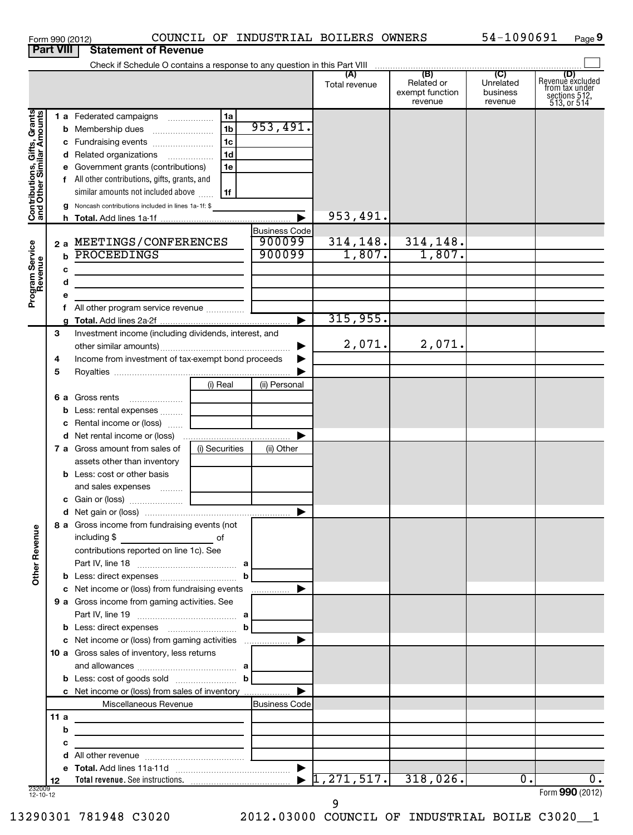| Form 990 (2012) |                                       | COUNCIL |
|-----------------|---------------------------------------|---------|
|                 | <b>Part VIII Statement of Revenue</b> |         |

# Form 990 (2012) COUNCIL OF INDUSTRIAL BOILERS OWNERS 54-1090691 Page **9**

|                                                           | Check if Schedule O contains a response to any question in this Part VIII |                                                                                                                                                                                                |                                                                |                                          |                     |                                                 |                                         |                                                                                   |  |  |  |  |
|-----------------------------------------------------------|---------------------------------------------------------------------------|------------------------------------------------------------------------------------------------------------------------------------------------------------------------------------------------|----------------------------------------------------------------|------------------------------------------|---------------------|-------------------------------------------------|-----------------------------------------|-----------------------------------------------------------------------------------|--|--|--|--|
|                                                           |                                                                           |                                                                                                                                                                                                |                                                                |                                          | Total revenue       | (B)<br>Related or<br>exempt function<br>revenue | (C)<br>Unrelated<br>business<br>revenue | (D)<br>Revenue excluded<br>from tax under<br>sections $512$ ,<br>$513$ , or $514$ |  |  |  |  |
| Contributions, Gifts, Grants<br>and Other Similar Amounts |                                                                           | 1 a Federated campaigns<br><b>b</b> Membership dues<br>c Fundraising events<br>d Related organizations<br>e Government grants (contributions)<br>f All other contributions, gifts, grants, and | 1a<br>1 <sub>b</sub><br>1 <sub>c</sub><br>1 <sub>d</sub><br>1e | 953,491.                                 |                     |                                                 |                                         |                                                                                   |  |  |  |  |
|                                                           |                                                                           | similar amounts not included above<br>Noncash contributions included in lines 1a-1f: \$                                                                                                        | 1f                                                             |                                          | 953,491.            |                                                 |                                         |                                                                                   |  |  |  |  |
| Program Service<br>Revenue                                | 2a<br>$\mathbf b$<br>с                                                    | MEETINGS/CONFERENCES<br>PROCEEDINGS                                                                                                                                                            |                                                                | <b>Business Code</b><br>900099<br>900099 | 314, 148.<br>1,807. | 314, 148.<br>1,807.                             |                                         |                                                                                   |  |  |  |  |
|                                                           | d<br>е<br>g                                                               | <u> 1989 - Johann Barbara, martxa alemaniar a</u>                                                                                                                                              |                                                                | ►                                        | 315,955.            |                                                 |                                         |                                                                                   |  |  |  |  |
|                                                           | 3<br>4                                                                    | Investment income (including dividends, interest, and<br>Income from investment of tax-exempt bond proceeds                                                                                    |                                                                |                                          | 2,071.              | 2,071.                                          |                                         |                                                                                   |  |  |  |  |
|                                                           | 5<br>6а                                                                   | Gross rents<br><b>b</b> Less: rental expenses                                                                                                                                                  | (i) Real                                                       | (ii) Personal                            |                     |                                                 |                                         |                                                                                   |  |  |  |  |
|                                                           |                                                                           | c Rental income or (loss)<br>7 a Gross amount from sales of<br>assets other than inventory                                                                                                     | (i) Securities                                                 | ▶<br>(ii) Other                          |                     |                                                 |                                         |                                                                                   |  |  |  |  |
| 9U                                                        |                                                                           | <b>b</b> Less: cost or other basis<br>and sales expenses<br>8 a Gross income from fundraising events (not<br>including \$<br><u>and the second second second</u> of                            |                                                                | ▶                                        |                     |                                                 |                                         |                                                                                   |  |  |  |  |
| Other Rever                                               |                                                                           | contributions reported on line 1c). See<br>c Net income or (loss) from fundraising events                                                                                                      | b                                                              | .                                        |                     |                                                 |                                         |                                                                                   |  |  |  |  |
|                                                           |                                                                           | 9 a Gross income from gaming activities. See<br>c Net income or (loss) from gaming activities<br>10 a Gross sales of inventory, less returns                                                   | $\mathbf b$                                                    |                                          |                     |                                                 |                                         |                                                                                   |  |  |  |  |
|                                                           |                                                                           | c Net income or (loss) from sales of inventory<br>Miscellaneous Revenue                                                                                                                        | bl                                                             | ▶<br>Business Code                       |                     |                                                 |                                         |                                                                                   |  |  |  |  |
|                                                           | 11a<br>b<br>с<br>d                                                        | the control of the control of the control of                                                                                                                                                   |                                                                |                                          |                     |                                                 |                                         |                                                                                   |  |  |  |  |
| 232009<br>12-10-12                                        | 12                                                                        |                                                                                                                                                                                                |                                                                | $\blacktriangleright$                    | 1, 271, 517.        | 318,026.                                        | $\overline{0}$ .                        | Ο.<br>Form 990 (2012)                                                             |  |  |  |  |

9

13290301 781948 C3020 2012.03000 COUNCIL OF INDUSTRIAL BOILE C3020\_\_1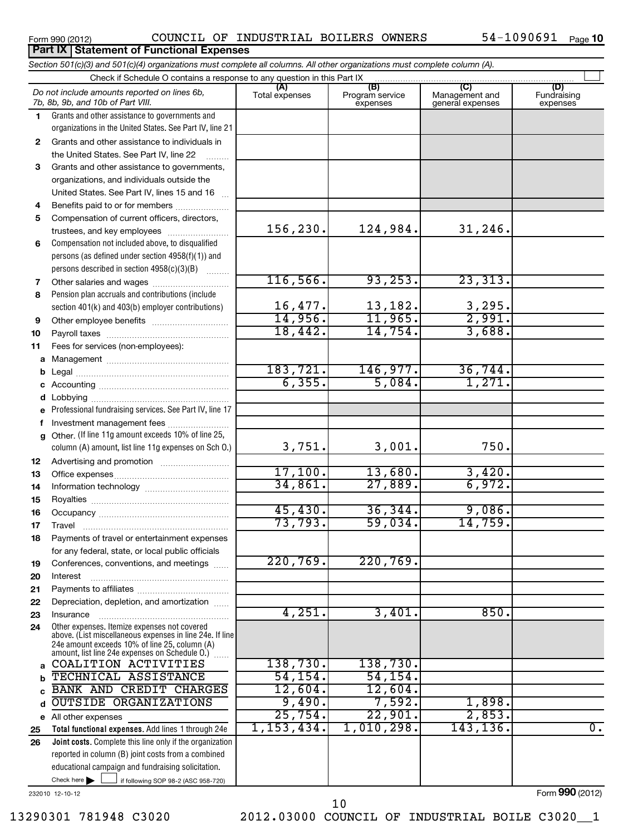### Form 990 (2012)  $\,$  COUNCIL OF INDUSTRIAL BOILERS OWNERS  $\,$  54-1090691  $_{\rm Page}$

54-1090691 Page 10

|              | Section 501(c)(3) and 501(c)(4) organizations must complete all columns. All other organizations must complete column (A).                                |                      |                                    |                                    |                         |
|--------------|-----------------------------------------------------------------------------------------------------------------------------------------------------------|----------------------|------------------------------------|------------------------------------|-------------------------|
|              | Check if Schedule O contains a response to any question in this Part IX                                                                                   | (A)                  |                                    | (C)                                | (D)                     |
|              | Do not include amounts reported on lines 6b,<br>7b, 8b, 9b, and 10b of Part VIII.                                                                         | Total expenses       | (B)<br>Program service<br>expenses | Management and<br>general expenses | Fundraising<br>expenses |
| 1.           | Grants and other assistance to governments and                                                                                                            |                      |                                    |                                    |                         |
|              | organizations in the United States. See Part IV, line 21                                                                                                  |                      |                                    |                                    |                         |
| $\mathbf{2}$ | Grants and other assistance to individuals in                                                                                                             |                      |                                    |                                    |                         |
|              | the United States. See Part IV, line 22                                                                                                                   |                      |                                    |                                    |                         |
| 3            | Grants and other assistance to governments,                                                                                                               |                      |                                    |                                    |                         |
|              | organizations, and individuals outside the                                                                                                                |                      |                                    |                                    |                         |
|              | United States. See Part IV, lines 15 and 16                                                                                                               |                      |                                    |                                    |                         |
| 4            | Benefits paid to or for members                                                                                                                           |                      |                                    |                                    |                         |
| 5            | Compensation of current officers, directors,                                                                                                              |                      |                                    |                                    |                         |
|              | trustees, and key employees                                                                                                                               | 156,230.             | 124,984.                           | 31, 246.                           |                         |
| 6            | Compensation not included above, to disqualified                                                                                                          |                      |                                    |                                    |                         |
|              | persons (as defined under section 4958(f)(1)) and                                                                                                         |                      |                                    |                                    |                         |
|              | persons described in section 4958(c)(3)(B)                                                                                                                |                      |                                    |                                    |                         |
| 7            |                                                                                                                                                           | 116, 566.            | 93, 253.                           | 23,313.                            |                         |
| 8            | Pension plan accruals and contributions (include                                                                                                          |                      |                                    |                                    |                         |
|              | section 401(k) and 403(b) employer contributions)                                                                                                         | 16,477.              | 13,182.                            | $\frac{3,295}{2,991}$              |                         |
| 9            |                                                                                                                                                           | 14,956.              | 11,965.                            |                                    |                         |
| 10           |                                                                                                                                                           | 18,442.              | 14,754.                            | 3,688.                             |                         |
| 11           | Fees for services (non-employees):                                                                                                                        |                      |                                    |                                    |                         |
| a            |                                                                                                                                                           | 183,721.             | 146,977.                           | 36,744.                            |                         |
| b            |                                                                                                                                                           | 6, 355.              | 5,084.                             | 1,271.                             |                         |
|              |                                                                                                                                                           |                      |                                    |                                    |                         |
| d            |                                                                                                                                                           |                      |                                    |                                    |                         |
| e            | Professional fundraising services. See Part IV, line 17                                                                                                   |                      |                                    |                                    |                         |
| f            | Investment management fees<br>Other. (If line 11g amount exceeds 10% of line 25,                                                                          |                      |                                    |                                    |                         |
| g            | column (A) amount, list line 11g expenses on Sch O.)                                                                                                      | 3,751.               | 3,001.                             | 750.                               |                         |
| 12           |                                                                                                                                                           |                      |                                    |                                    |                         |
| 13           |                                                                                                                                                           | 17,100.              | 13,680.                            | 3,420.                             |                         |
| 14           |                                                                                                                                                           | 34,861.              | 27,889.                            | 6,972.                             |                         |
| 15           |                                                                                                                                                           |                      |                                    |                                    |                         |
| 16           |                                                                                                                                                           | 45,430.              | 36, 344.                           | 9,086.                             |                         |
| 17           |                                                                                                                                                           | 73,793.              | 59,034.                            | 14,759.                            |                         |
| 18           | Payments of travel or entertainment expenses                                                                                                              |                      |                                    |                                    |                         |
|              | for any federal, state, or local public officials                                                                                                         |                      |                                    |                                    |                         |
| 19           | Conferences, conventions, and meetings                                                                                                                    | 220,769.             | 220,769.                           |                                    |                         |
| 20           | Interest                                                                                                                                                  |                      |                                    |                                    |                         |
| 21           |                                                                                                                                                           |                      |                                    |                                    |                         |
| 22           | Depreciation, depletion, and amortization                                                                                                                 |                      |                                    |                                    |                         |
| 23           | Insurance                                                                                                                                                 | 4,251.               | 3,401.                             | 850.                               |                         |
| 24           | Other expenses. Itemize expenses not covered<br>above. (List miscellaneous expenses in line 24e. If line<br>24e amount exceeds 10% of line 25, column (A) |                      |                                    |                                    |                         |
|              | amount, list line 24e expenses on Schedule O.) [                                                                                                          |                      |                                    |                                    |                         |
| a            | COALITION ACTIVITIES                                                                                                                                      | 138,730.<br>54, 154. | 138,730.                           |                                    |                         |
| b            | TECHNICAL ASSISTANCE                                                                                                                                      | 12,604.              | 54, 154.                           |                                    |                         |
| c            | BANK AND CREDIT CHARGES<br><b>OUTSIDE ORGANIZATIONS</b>                                                                                                   | 9,490.               | 12,604.<br>7,592.                  | 1,898.                             |                         |
| d            |                                                                                                                                                           | 25,754.              | 22,901.                            | 2,853.                             |                         |
|              | e All other expenses                                                                                                                                      | 1,153,434.           | 1,010,298.                         | 143,136.                           | 0.                      |
| 25           | Total functional expenses. Add lines 1 through 24e<br>Joint costs. Complete this line only if the organization                                            |                      |                                    |                                    |                         |
| 26           | reported in column (B) joint costs from a combined                                                                                                        |                      |                                    |                                    |                         |
|              | educational campaign and fundraising solicitation.                                                                                                        |                      |                                    |                                    |                         |
|              | Check here<br>if following SOP 98-2 (ASC 958-720)                                                                                                         |                      |                                    |                                    |                         |
|              |                                                                                                                                                           |                      |                                    |                                    |                         |

232010 12-10-12

Form **990** (2012)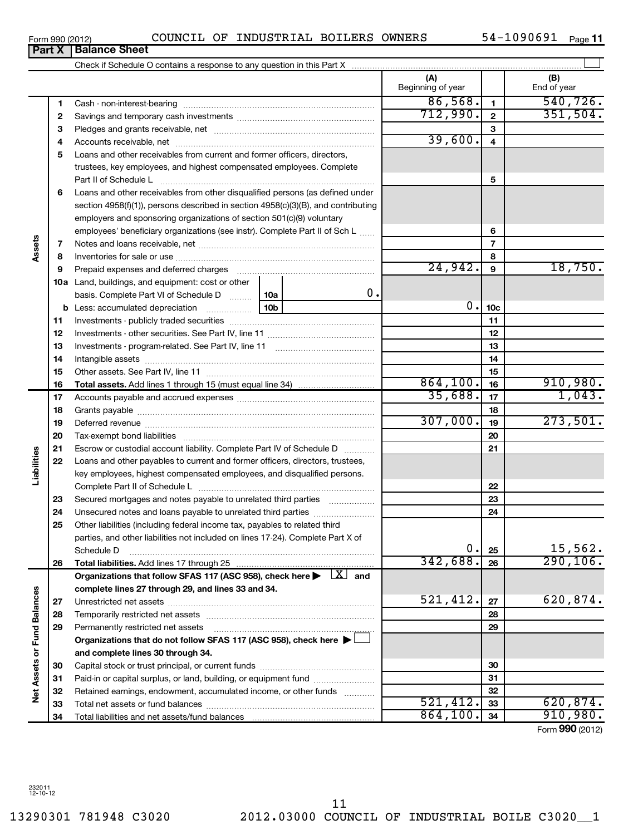$\frac{521,412.33}{864,100.34}$  620,874.

Form (2012) **990**

910,980.

Form 990 (2012)  $\,$  COUNCIL OF INDUSTRIAL BOILERS OWNERS  $\,$  54-1090691  $_{\rm Page}$ 

54-1090691 <sub>Page</sub> 11

|                             | <u>UIIII JJU ILU ILI</u> | <b>Part X   Balance Sheet</b>                                                                                                  |          |                |                          |                 | r ayo r r          |
|-----------------------------|--------------------------|--------------------------------------------------------------------------------------------------------------------------------|----------|----------------|--------------------------|-----------------|--------------------|
|                             |                          |                                                                                                                                |          |                |                          |                 |                    |
|                             |                          |                                                                                                                                |          |                | (A)<br>Beginning of year |                 | (B)<br>End of year |
|                             | 1                        |                                                                                                                                |          |                | 86,568.                  | $\mathbf{1}$    | 540, 726.          |
|                             | 2                        |                                                                                                                                |          |                | 712,990.                 | $\mathbf{2}$    | 351,504.           |
|                             | З                        |                                                                                                                                |          |                |                          | 3               |                    |
|                             | 4                        |                                                                                                                                |          |                | 39,600.                  | 4               |                    |
|                             | 5                        | Loans and other receivables from current and former officers, directors,                                                       |          |                |                          |                 |                    |
|                             |                          | trustees, key employees, and highest compensated employees. Complete                                                           |          |                |                          |                 |                    |
|                             |                          | Part II of Schedule L                                                                                                          |          |                |                          | 5               |                    |
|                             | 6                        | Loans and other receivables from other disqualified persons (as defined under                                                  |          |                |                          |                 |                    |
|                             |                          | section 4958(f)(1)), persons described in section 4958(c)(3)(B), and contributing                                              |          |                |                          |                 |                    |
|                             |                          | employers and sponsoring organizations of section 501(c)(9) voluntary                                                          |          |                |                          |                 |                    |
|                             |                          | employees' beneficiary organizations (see instr). Complete Part II of Sch L                                                    |          |                | 6                        |                 |                    |
| Assets                      | 7                        |                                                                                                                                |          | $\overline{7}$ |                          |                 |                    |
|                             | 8                        |                                                                                                                                |          |                | 8                        |                 |                    |
|                             | 9                        |                                                                                                                                |          |                | 24,942.                  | 9               | 18,750.            |
|                             |                          | 10a Land, buildings, and equipment: cost or other                                                                              |          |                |                          |                 |                    |
|                             |                          | basis. Complete Part VI of Schedule D  10a                                                                                     |          | 0.             |                          |                 |                    |
|                             |                          |                                                                                                                                |          |                | $0$ .                    | 10 <sub>c</sub> |                    |
|                             | 11                       |                                                                                                                                |          |                |                          | 11              |                    |
|                             | 12                       |                                                                                                                                |          | 12             |                          |                 |                    |
|                             | 13                       |                                                                                                                                |          |                |                          | 13              |                    |
|                             | 14                       |                                                                                                                                |          |                |                          | 14              |                    |
|                             | 15                       |                                                                                                                                |          | 15             |                          |                 |                    |
|                             | 16                       |                                                                                                                                | 864,100. | 16             | 910,980.                 |                 |                    |
|                             | 17                       |                                                                                                                                |          |                | 35,688.                  | 17              | 1,043.             |
|                             | 18                       |                                                                                                                                |          |                |                          | 18              |                    |
|                             | 19                       |                                                                                                                                |          |                | 307,000.                 | 19              | 273,501.           |
|                             | 20                       |                                                                                                                                |          |                |                          | 20              |                    |
|                             | 21                       | Escrow or custodial account liability. Complete Part IV of Schedule D                                                          |          |                |                          | 21              |                    |
|                             | 22                       | Loans and other payables to current and former officers, directors, trustees,                                                  |          |                |                          |                 |                    |
| Liabilities                 |                          | key employees, highest compensated employees, and disqualified persons.                                                        |          |                |                          |                 |                    |
|                             |                          | Complete Part II of Schedule L                                                                                                 |          |                |                          | 22              |                    |
|                             | 23<br>24                 | Secured mortgages and notes payable to unrelated third parties<br>Unsecured notes and loans payable to unrelated third parties |          |                |                          | 23<br>24        |                    |
|                             | 25                       | Other liabilities (including federal income tax, payables to related third                                                     |          |                |                          |                 |                    |
|                             |                          | parties, and other liabilities not included on lines 17-24). Complete Part X of                                                |          |                |                          |                 |                    |
|                             |                          | Schedule D                                                                                                                     |          |                | 0.                       | 25              | 15,562.            |
|                             | 26                       | Total liabilities. Add lines 17 through 25                                                                                     |          |                | 342,688.                 | 26              | 290, 106.          |
|                             |                          | Organizations that follow SFAS 117 (ASC 958), check here $\blacktriangleright \begin{array}{c} \boxed{X} \end{array}$ and      |          |                |                          |                 |                    |
|                             |                          | complete lines 27 through 29, and lines 33 and 34.                                                                             |          |                |                          |                 |                    |
|                             | 27                       |                                                                                                                                |          |                | 521,412.                 | 27              | 620,874.           |
|                             | 28                       |                                                                                                                                |          |                |                          | 28              |                    |
|                             | 29                       | Permanently restricted net assets                                                                                              |          |                |                          | 29              |                    |
|                             |                          | Organizations that do not follow SFAS 117 (ASC 958), check here ▶                                                              |          |                |                          |                 |                    |
|                             |                          | and complete lines 30 through 34.                                                                                              |          |                |                          |                 |                    |
|                             | 30                       |                                                                                                                                |          |                |                          | 30              |                    |
|                             | 31                       | Paid-in or capital surplus, or land, building, or equipment fund                                                               |          |                |                          | 31              |                    |
| Net Assets or Fund Balances | 32                       | Retained earnings, endowment, accumulated income, or other funds                                                               |          |                | 591<br>71 J              | 32<br>$\sim$    | 620 874            |
|                             |                          |                                                                                                                                |          |                |                          |                 |                    |

Total liabilities and net assets/fund balances

Paid-in or capital surplus, or land, building, or equipment fund ...................... Retained earnings, endowment, accumulated income, or other funds ............ Total net assets or fund balances ~~~~~~~~~~~~~~~~~~~~~~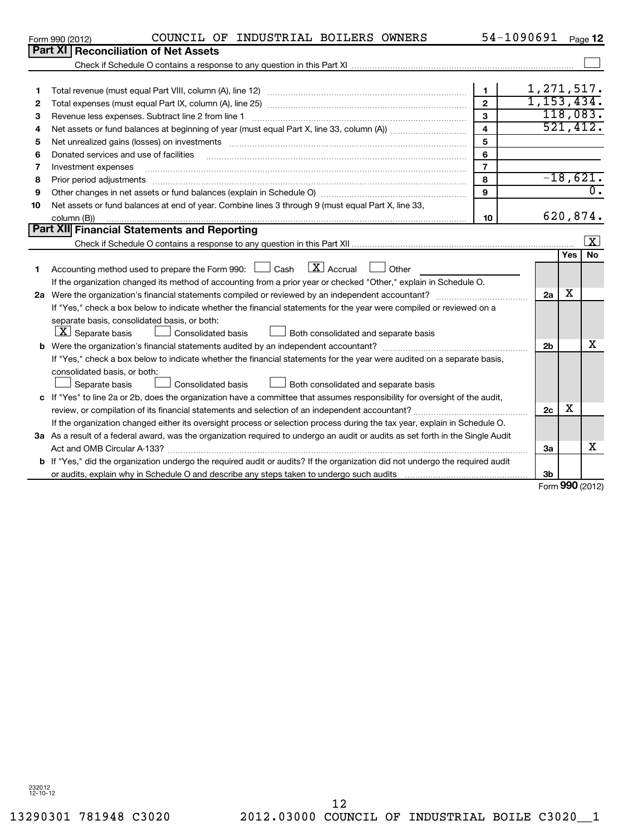232012 12-10-12

| 1  |                                                                                                                                 | 1              | 1,271,517.     |                 |                     |  |  |  |
|----|---------------------------------------------------------------------------------------------------------------------------------|----------------|----------------|-----------------|---------------------|--|--|--|
| 2  |                                                                                                                                 | $\overline{2}$ | 1, 153, 434.   |                 |                     |  |  |  |
| 3  | Revenue less expenses. Subtract line 2 from line 1                                                                              | 3              |                | 118,083.        |                     |  |  |  |
| 4  |                                                                                                                                 | 4              |                | 521,412.        |                     |  |  |  |
| 5  |                                                                                                                                 | 5              |                |                 |                     |  |  |  |
| 6  | Donated services and use of facilities                                                                                          | 6              |                |                 |                     |  |  |  |
| 7  | Investment expenses                                                                                                             | $\overline{7}$ |                |                 |                     |  |  |  |
| 8  | Prior period adjustments                                                                                                        | 8              |                | $-18,621.$      |                     |  |  |  |
| 9  | Other changes in net assets or fund balances (explain in Schedule O) manufactured controller than grow of the                   | 9              |                |                 | 0.                  |  |  |  |
| 10 | Net assets or fund balances at end of year. Combine lines 3 through 9 (must equal Part X, line 33,                              |                |                |                 |                     |  |  |  |
|    | column (B))                                                                                                                     | 10             |                | 620,874.        |                     |  |  |  |
|    | <b>Part XII</b> Financial Statements and Reporting                                                                              |                |                |                 |                     |  |  |  |
|    |                                                                                                                                 |                |                |                 | $\lfloor x \rfloor$ |  |  |  |
|    |                                                                                                                                 |                |                | Yes             | <b>No</b>           |  |  |  |
| 1  | $\lfloor x \rfloor$ Accrual<br>Accounting method used to prepare the Form 990: $\Box$ Cash<br>Other                             |                |                |                 |                     |  |  |  |
|    | If the organization changed its method of accounting from a prior year or checked "Other," explain in Schedule O.               |                |                |                 |                     |  |  |  |
|    | 2a                                                                                                                              |                |                |                 |                     |  |  |  |
|    | If "Yes," check a box below to indicate whether the financial statements for the year were compiled or reviewed on a            |                |                |                 |                     |  |  |  |
|    | separate basis, consolidated basis, or both:                                                                                    |                |                |                 |                     |  |  |  |
|    | $ \underline{X} $ Separate basis<br>Both consolidated and separate basis<br><b>Consolidated basis</b>                           |                |                |                 |                     |  |  |  |
|    |                                                                                                                                 |                | 2 <sub>b</sub> |                 | x                   |  |  |  |
|    | If "Yes," check a box below to indicate whether the financial statements for the year were audited on a separate basis,         |                |                |                 |                     |  |  |  |
|    | consolidated basis, or both:                                                                                                    |                |                |                 |                     |  |  |  |
|    | Separate basis<br>Both consolidated and separate basis<br>Consolidated basis                                                    |                |                |                 |                     |  |  |  |
|    | c If "Yes" to line 2a or 2b, does the organization have a committee that assumes responsibility for oversight of the audit,     |                |                |                 |                     |  |  |  |
|    | review, or compilation of its financial statements and selection of an independent accountant?                                  |                | 2c             | х               |                     |  |  |  |
|    | If the organization changed either its oversight process or selection process during the tax year, explain in Schedule O.       |                |                |                 |                     |  |  |  |
|    | 3a As a result of a federal award, was the organization required to undergo an audit or audits as set forth in the Single Audit |                |                |                 |                     |  |  |  |
|    |                                                                                                                                 |                | За             |                 | х                   |  |  |  |
|    | b If "Yes," did the organization undergo the required audit or audits? If the organization did not undergo the required audit   |                |                |                 |                     |  |  |  |
|    |                                                                                                                                 |                | 3 <sub>b</sub> |                 |                     |  |  |  |
|    |                                                                                                                                 |                |                | Form 990 (2012) |                     |  |  |  |

Form 990 (2012)  $\,$  COUNCIL OF INDUSTRIAL BOILERS OWNERS  $\,$  54-1090691  $_{\rm Page}$ 

Check if Schedule O contains a response to any question in this Part XI

**Part XI | Reconciliation of Net Assets** 

54-1090691 Page 12

 $\sim$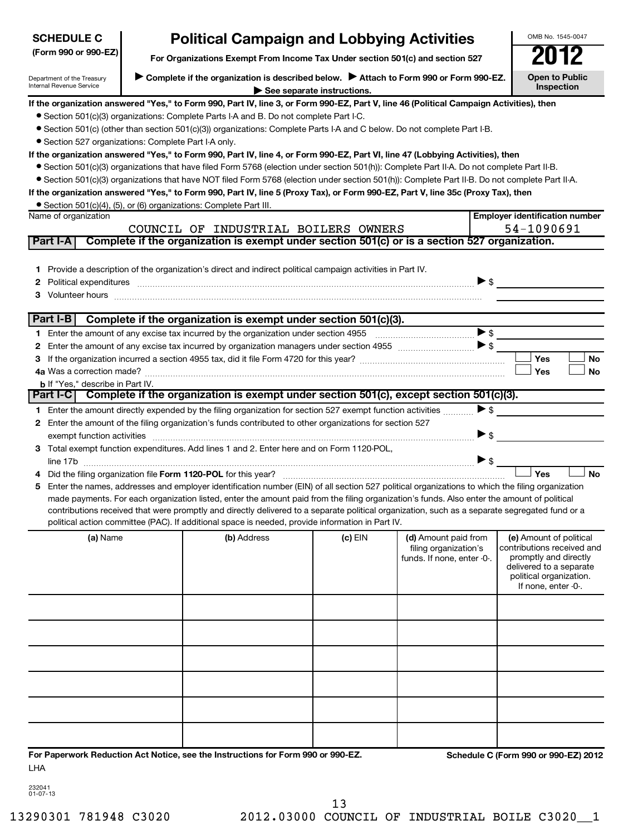| <b>SCHEDULE C</b>                                      |                                     | OMB No. 1545-0047                                                                                                                                                                                                                                                                                                                                                                                                                                                                                                                                                                                                                                                                                                                                                                                                                                                                                                                     |           |                                                                             |                          |                                                                                                                                                             |
|--------------------------------------------------------|-------------------------------------|---------------------------------------------------------------------------------------------------------------------------------------------------------------------------------------------------------------------------------------------------------------------------------------------------------------------------------------------------------------------------------------------------------------------------------------------------------------------------------------------------------------------------------------------------------------------------------------------------------------------------------------------------------------------------------------------------------------------------------------------------------------------------------------------------------------------------------------------------------------------------------------------------------------------------------------|-----------|-----------------------------------------------------------------------------|--------------------------|-------------------------------------------------------------------------------------------------------------------------------------------------------------|
| (Form 990 or 990-EZ)                                   |                                     | <b>Political Campaign and Lobbying Activities</b><br>For Organizations Exempt From Income Tax Under section 501(c) and section 527                                                                                                                                                                                                                                                                                                                                                                                                                                                                                                                                                                                                                                                                                                                                                                                                    |           |                                                                             |                          |                                                                                                                                                             |
| Department of the Treasury<br>Internal Revenue Service | <b>Open to Public</b><br>Inspection |                                                                                                                                                                                                                                                                                                                                                                                                                                                                                                                                                                                                                                                                                                                                                                                                                                                                                                                                       |           |                                                                             |                          |                                                                                                                                                             |
| • Section 527 organizations: Complete Part I-A only.   |                                     | If the organization answered "Yes," to Form 990, Part IV, line 3, or Form 990-EZ, Part V, line 46 (Political Campaign Activities), then<br>• Section 501(c)(3) organizations: Complete Parts I-A and B. Do not complete Part I-C.<br>• Section 501(c) (other than section 501(c)(3)) organizations: Complete Parts I-A and C below. Do not complete Part I-B.<br>If the organization answered "Yes," to Form 990, Part IV, line 4, or Form 990-EZ, Part VI, line 47 (Lobbying Activities), then<br>• Section 501(c)(3) organizations that have filed Form 5768 (election under section 501(h)): Complete Part II-A. Do not complete Part II-B.<br>• Section 501(c)(3) organizations that have NOT filed Form 5768 (election under section 501(h)): Complete Part II-B. Do not complete Part II-A.<br>If the organization answered "Yes," to Form 990, Part IV, line 5 (Proxy Tax), or Form 990-EZ, Part V, line 35c (Proxy Tax), then |           |                                                                             |                          |                                                                                                                                                             |
| Name of organization                                   |                                     | • Section 501(c)(4), (5), or (6) organizations: Complete Part III.                                                                                                                                                                                                                                                                                                                                                                                                                                                                                                                                                                                                                                                                                                                                                                                                                                                                    |           |                                                                             |                          | <b>Employer identification number</b>                                                                                                                       |
|                                                        |                                     | COUNCIL OF INDUSTRIAL BOILERS OWNERS                                                                                                                                                                                                                                                                                                                                                                                                                                                                                                                                                                                                                                                                                                                                                                                                                                                                                                  |           |                                                                             |                          | 54-1090691                                                                                                                                                  |
| Part I-A                                               |                                     | Complete if the organization is exempt under section 501(c) or is a section 527 organization.                                                                                                                                                                                                                                                                                                                                                                                                                                                                                                                                                                                                                                                                                                                                                                                                                                         |           |                                                                             |                          |                                                                                                                                                             |
| 2<br>З                                                 |                                     | 1 Provide a description of the organization's direct and indirect political campaign activities in Part IV.<br>Political expenditures <b>continuum contract and all contract and all contract and all contract and all contract and all contract and all contract and all contract of \$</b>                                                                                                                                                                                                                                                                                                                                                                                                                                                                                                                                                                                                                                          |           |                                                                             |                          |                                                                                                                                                             |
| Part I-B                                               |                                     | Complete if the organization is exempt under section 501(c)(3).                                                                                                                                                                                                                                                                                                                                                                                                                                                                                                                                                                                                                                                                                                                                                                                                                                                                       |           |                                                                             |                          |                                                                                                                                                             |
|                                                        |                                     |                                                                                                                                                                                                                                                                                                                                                                                                                                                                                                                                                                                                                                                                                                                                                                                                                                                                                                                                       |           |                                                                             |                          |                                                                                                                                                             |
|                                                        |                                     |                                                                                                                                                                                                                                                                                                                                                                                                                                                                                                                                                                                                                                                                                                                                                                                                                                                                                                                                       |           |                                                                             |                          |                                                                                                                                                             |
|                                                        |                                     |                                                                                                                                                                                                                                                                                                                                                                                                                                                                                                                                                                                                                                                                                                                                                                                                                                                                                                                                       |           |                                                                             |                          | Yes<br><b>No</b>                                                                                                                                            |
|                                                        |                                     |                                                                                                                                                                                                                                                                                                                                                                                                                                                                                                                                                                                                                                                                                                                                                                                                                                                                                                                                       |           |                                                                             |                          | Yes<br><b>No</b>                                                                                                                                            |
| <b>b</b> If "Yes," describe in Part IV.<br>Part I-C    |                                     | Complete if the organization is exempt under section 501(c), except section 501(c)(3).                                                                                                                                                                                                                                                                                                                                                                                                                                                                                                                                                                                                                                                                                                                                                                                                                                                |           |                                                                             |                          |                                                                                                                                                             |
|                                                        |                                     | 1 Enter the amount directly expended by the filing organization for section 527 exempt function activities                                                                                                                                                                                                                                                                                                                                                                                                                                                                                                                                                                                                                                                                                                                                                                                                                            |           |                                                                             | $\blacktriangleright$ \$ |                                                                                                                                                             |
| exempt function activities                             |                                     | 2 Enter the amount of the filing organization's funds contributed to other organizations for section 527                                                                                                                                                                                                                                                                                                                                                                                                                                                                                                                                                                                                                                                                                                                                                                                                                              |           |                                                                             | $\blacktriangleright$ \$ |                                                                                                                                                             |
|                                                        |                                     | 3 Total exempt function expenditures. Add lines 1 and 2. Enter here and on Form 1120-POL,                                                                                                                                                                                                                                                                                                                                                                                                                                                                                                                                                                                                                                                                                                                                                                                                                                             |           |                                                                             | $\blacktriangleright$ \$ |                                                                                                                                                             |
|                                                        |                                     |                                                                                                                                                                                                                                                                                                                                                                                                                                                                                                                                                                                                                                                                                                                                                                                                                                                                                                                                       |           |                                                                             |                          | Yes<br><b>No</b>                                                                                                                                            |
| 5.                                                     |                                     | Enter the names, addresses and employer identification number (EIN) of all section 527 political organizations to which the filing organization<br>made payments. For each organization listed, enter the amount paid from the filing organization's funds. Also enter the amount of political<br>contributions received that were promptly and directly delivered to a separate political organization, such as a separate segregated fund or a<br>political action committee (PAC). If additional space is needed, provide information in Part IV.                                                                                                                                                                                                                                                                                                                                                                                  |           |                                                                             |                          |                                                                                                                                                             |
| (a) Name                                               |                                     | (b) Address                                                                                                                                                                                                                                                                                                                                                                                                                                                                                                                                                                                                                                                                                                                                                                                                                                                                                                                           | $(c)$ EIN | (d) Amount paid from<br>filing organization's<br>funds. If none, enter -0-. |                          | (e) Amount of political<br>contributions received and<br>promptly and directly<br>delivered to a separate<br>political organization.<br>If none, enter -0-. |
|                                                        |                                     |                                                                                                                                                                                                                                                                                                                                                                                                                                                                                                                                                                                                                                                                                                                                                                                                                                                                                                                                       |           |                                                                             |                          |                                                                                                                                                             |
|                                                        |                                     |                                                                                                                                                                                                                                                                                                                                                                                                                                                                                                                                                                                                                                                                                                                                                                                                                                                                                                                                       |           |                                                                             |                          |                                                                                                                                                             |
|                                                        |                                     |                                                                                                                                                                                                                                                                                                                                                                                                                                                                                                                                                                                                                                                                                                                                                                                                                                                                                                                                       |           |                                                                             |                          |                                                                                                                                                             |
| LHA                                                    |                                     | For Paperwork Reduction Act Notice, see the Instructions for Form 990 or 990-EZ.                                                                                                                                                                                                                                                                                                                                                                                                                                                                                                                                                                                                                                                                                                                                                                                                                                                      |           |                                                                             |                          | Schedule C (Form 990 or 990-EZ) 2012                                                                                                                        |

232041 01-07-13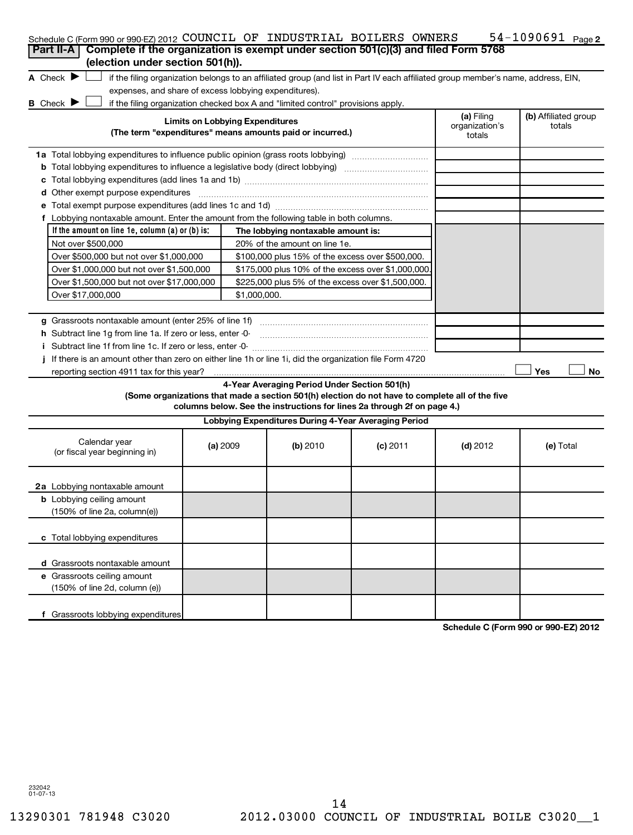| Schedule C (Form 990 or 990-EZ) 2012 COUNCIL OF INDUSTRIAL BOILERS OWNERS                                                           |                                        |                                                                                                                                                                                                                            |            |                                        | 54-1090691 $_{Page 2}$         |
|-------------------------------------------------------------------------------------------------------------------------------------|----------------------------------------|----------------------------------------------------------------------------------------------------------------------------------------------------------------------------------------------------------------------------|------------|----------------------------------------|--------------------------------|
| Complete if the organization is exempt under section 501(c)(3) and filed Form 5768<br>Part II-A<br>(election under section 501(h)). |                                        |                                                                                                                                                                                                                            |            |                                        |                                |
|                                                                                                                                     |                                        |                                                                                                                                                                                                                            |            |                                        |                                |
| A Check $\blacktriangleright$<br>expenses, and share of excess lobbying expenditures).                                              |                                        | if the filing organization belongs to an affiliated group (and list in Part IV each affiliated group member's name, address, EIN,                                                                                          |            |                                        |                                |
| <b>B</b> Check I                                                                                                                    |                                        | if the filing organization checked box A and "limited control" provisions apply.                                                                                                                                           |            |                                        |                                |
|                                                                                                                                     | <b>Limits on Lobbying Expenditures</b> | (The term "expenditures" means amounts paid or incurred.)                                                                                                                                                                  |            | (a) Filing<br>organization's<br>totals | (b) Affiliated group<br>totals |
|                                                                                                                                     |                                        |                                                                                                                                                                                                                            |            |                                        |                                |
| 1a Total lobbying expenditures to influence public opinion (grass roots lobbying)                                                   |                                        |                                                                                                                                                                                                                            |            |                                        |                                |
| <b>b</b> Total lobbying expenditures to influence a legislative body (direct lobbying) <i>manumanomanoman</i>                       |                                        |                                                                                                                                                                                                                            |            |                                        |                                |
| d Other exempt purpose expenditures                                                                                                 |                                        |                                                                                                                                                                                                                            |            |                                        |                                |
|                                                                                                                                     |                                        |                                                                                                                                                                                                                            |            |                                        |                                |
| f Lobbying nontaxable amount. Enter the amount from the following table in both columns.                                            |                                        |                                                                                                                                                                                                                            |            |                                        |                                |
| If the amount on line 1e, column $(a)$ or $(b)$ is:                                                                                 |                                        | The lobbying nontaxable amount is:                                                                                                                                                                                         |            |                                        |                                |
| Not over \$500,000                                                                                                                  |                                        | 20% of the amount on line 1e.                                                                                                                                                                                              |            |                                        |                                |
| Over \$500,000 but not over \$1,000,000                                                                                             |                                        | \$100,000 plus 15% of the excess over \$500,000.                                                                                                                                                                           |            |                                        |                                |
| Over \$1,000,000 but not over \$1,500,000                                                                                           |                                        | \$175,000 plus 10% of the excess over \$1,000,000                                                                                                                                                                          |            |                                        |                                |
| Over \$1,500,000 but not over \$17,000,000                                                                                          |                                        | \$225,000 plus 5% of the excess over \$1,500,000.                                                                                                                                                                          |            |                                        |                                |
| Over \$17,000,000                                                                                                                   | \$1,000,000.                           |                                                                                                                                                                                                                            |            |                                        |                                |
|                                                                                                                                     |                                        |                                                                                                                                                                                                                            |            |                                        |                                |
|                                                                                                                                     |                                        |                                                                                                                                                                                                                            |            |                                        |                                |
| h Subtract line 1g from line 1a. If zero or less, enter -0-                                                                         |                                        |                                                                                                                                                                                                                            |            |                                        |                                |
|                                                                                                                                     |                                        |                                                                                                                                                                                                                            |            |                                        |                                |
| If there is an amount other than zero on either line 1h or line 1i, did the organization file Form 4720                             |                                        |                                                                                                                                                                                                                            |            |                                        |                                |
| reporting section 4911 tax for this year?                                                                                           |                                        |                                                                                                                                                                                                                            |            |                                        | Yes<br>No                      |
|                                                                                                                                     |                                        | 4-Year Averaging Period Under Section 501(h)<br>(Some organizations that made a section 501(h) election do not have to complete all of the five<br>columns below. See the instructions for lines 2a through 2f on page 4.) |            |                                        |                                |
|                                                                                                                                     |                                        | Lobbying Expenditures During 4-Year Averaging Period                                                                                                                                                                       |            |                                        |                                |
| Calendar year<br>(or fiscal year beginning in)                                                                                      | (a) 2009                               | (b) 2010                                                                                                                                                                                                                   | $(c)$ 2011 | $(d)$ 2012                             | (e) Total                      |
| 2a Lobbying nontaxable amount                                                                                                       |                                        |                                                                                                                                                                                                                            |            |                                        |                                |
| <b>b</b> Lobbying ceiling amount<br>$(150\% \text{ of line } 2a, \text{column}(e))$                                                 |                                        |                                                                                                                                                                                                                            |            |                                        |                                |
| c Total lobbying expenditures                                                                                                       |                                        |                                                                                                                                                                                                                            |            |                                        |                                |
| d Grassroots nontaxable amount                                                                                                      |                                        |                                                                                                                                                                                                                            |            |                                        |                                |
| e Grassroots ceiling amount                                                                                                         |                                        |                                                                                                                                                                                                                            |            |                                        |                                |
| (150% of line 2d, column (e))                                                                                                       |                                        |                                                                                                                                                                                                                            |            |                                        |                                |
| f Grassroots lobbying expenditures                                                                                                  |                                        |                                                                                                                                                                                                                            |            |                                        |                                |

**Schedule C (Form 990 or 990-EZ) 2012**

232042 01-07-13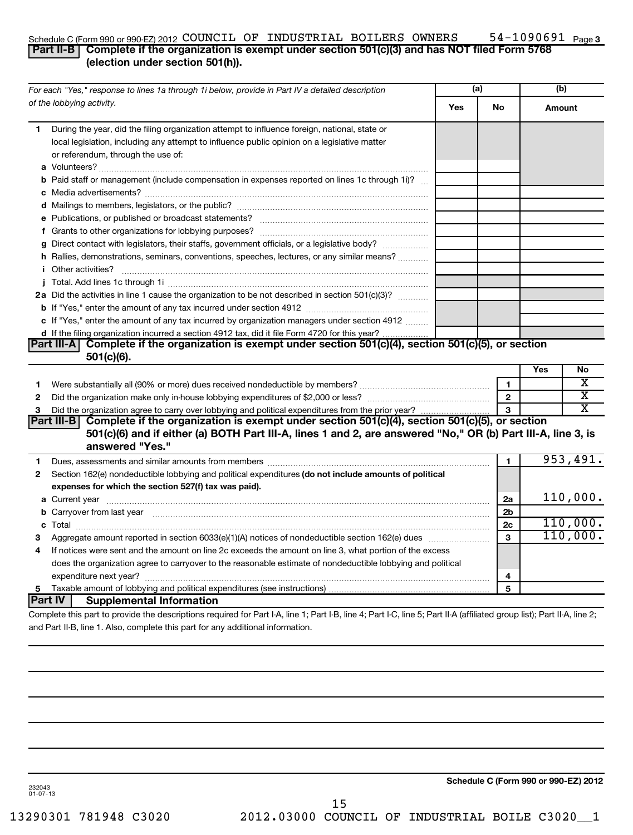# Schedule C (Form 990 or 990-EZ) 2012 COUNCIL OF INDUSTRIAL BOILERS OWNERS  $\,$  54-1090691  $_{\rm Page}$

# 54-1090691 Page 3

# **Part II-B** Complete if the organization is exempt under section 501(c)(3) and has NOT filed Form 5768 **(election under section 501(h)).**

|   | For each "Yes," response to lines 1a through 1i below, provide in Part IV a detailed description                                                                                                                                    |     | (a)            | (b)    |          |
|---|-------------------------------------------------------------------------------------------------------------------------------------------------------------------------------------------------------------------------------------|-----|----------------|--------|----------|
|   | of the lobbying activity.                                                                                                                                                                                                           | Yes | No             | Amount |          |
| 1 | During the year, did the filing organization attempt to influence foreign, national, state or<br>local legislation, including any attempt to influence public opinion on a legislative matter<br>or referendum, through the use of: |     |                |        |          |
|   | <b>b</b> Paid staff or management (include compensation in expenses reported on lines 1c through 1i)?                                                                                                                               |     |                |        |          |
|   |                                                                                                                                                                                                                                     |     |                |        |          |
|   |                                                                                                                                                                                                                                     |     |                |        |          |
|   |                                                                                                                                                                                                                                     |     |                |        |          |
|   | g Direct contact with legislators, their staffs, government officials, or a legislative body?                                                                                                                                       |     |                |        |          |
|   | h Rallies, demonstrations, seminars, conventions, speeches, lectures, or any similar means?<br><i>i</i> Other activities?                                                                                                           |     |                |        |          |
|   |                                                                                                                                                                                                                                     |     |                |        |          |
|   | 2a Did the activities in line 1 cause the organization to be not described in section 501(c)(3)?                                                                                                                                    |     |                |        |          |
|   |                                                                                                                                                                                                                                     |     |                |        |          |
|   | c If "Yes," enter the amount of any tax incurred by organization managers under section 4912                                                                                                                                        |     |                |        |          |
|   | d If the filing organization incurred a section 4912 tax, did it file Form 4720 for this year?                                                                                                                                      |     |                |        |          |
|   | Part III-A Complete if the organization is exempt under section 501(c)(4), section 501(c)(5), or section<br>$501(c)(6)$ .                                                                                                           |     |                |        |          |
|   |                                                                                                                                                                                                                                     |     |                | Yes    | No       |
| 1 |                                                                                                                                                                                                                                     |     | $\mathbf{1}$   |        | х        |
| 2 |                                                                                                                                                                                                                                     |     | $\overline{2}$ |        | х        |
| 3 |                                                                                                                                                                                                                                     |     | $\mathbf{a}$   |        | x        |
|   | Part III-B Complete if the organization is exempt under section 501(c)(4), section 501(c)(5), or section                                                                                                                            |     |                |        |          |
|   | 501(c)(6) and if either (a) BOTH Part III-A, lines 1 and 2, are answered "No," OR (b) Part III-A, line 3, is                                                                                                                        |     |                |        |          |
|   | answered "Yes."                                                                                                                                                                                                                     |     |                |        |          |
| 1 | Dues, assessments and similar amounts from members [111] Dues, assessments and similar members [11] Dues, assessments and similar amounts from members [11] Dues, assessments and similar amounts from members [11] Dues and S      |     | 1              |        | 953,491. |
| 2 | Section 162(e) nondeductible lobbying and political expenditures (do not include amounts of political                                                                                                                               |     |                |        |          |
|   | expenses for which the section 527(f) tax was paid).                                                                                                                                                                                |     |                |        |          |
|   |                                                                                                                                                                                                                                     |     | 2a             |        | 110,000. |
|   | b Carryover from last year measured and contact the contract of the contract of the contract of the contract of the contract of the contract of the contract of the contract of the contract of the contract of the contract o      |     | 2b             |        |          |
|   |                                                                                                                                                                                                                                     |     | 2c             |        | 110,000. |
| З |                                                                                                                                                                                                                                     |     | 3              |        | 110,000. |
| 4 | If notices were sent and the amount on line 2c exceeds the amount on line 3, what portion of the excess                                                                                                                             |     |                |        |          |
|   | does the organization agree to carryover to the reasonable estimate of nondeductible lobbying and political                                                                                                                         |     |                |        |          |
|   |                                                                                                                                                                                                                                     |     | 4              |        |          |
| 5 |                                                                                                                                                                                                                                     |     | 5              |        |          |
|   | Part IV  <br><b>Supplemental Information</b>                                                                                                                                                                                        |     |                |        |          |
|   | Complete this part to provide the descriptions required for Part I-A, line 1; Part I-B, line 4; Part I-C, line 5; Part II-A (affiliated group list); Part II-A, line 2;                                                             |     |                |        |          |
|   | and Part II-B, line 1. Also, complete this part for any additional information.                                                                                                                                                     |     |                |        |          |

**Schedule C (Form 990 or 990-EZ) 2012**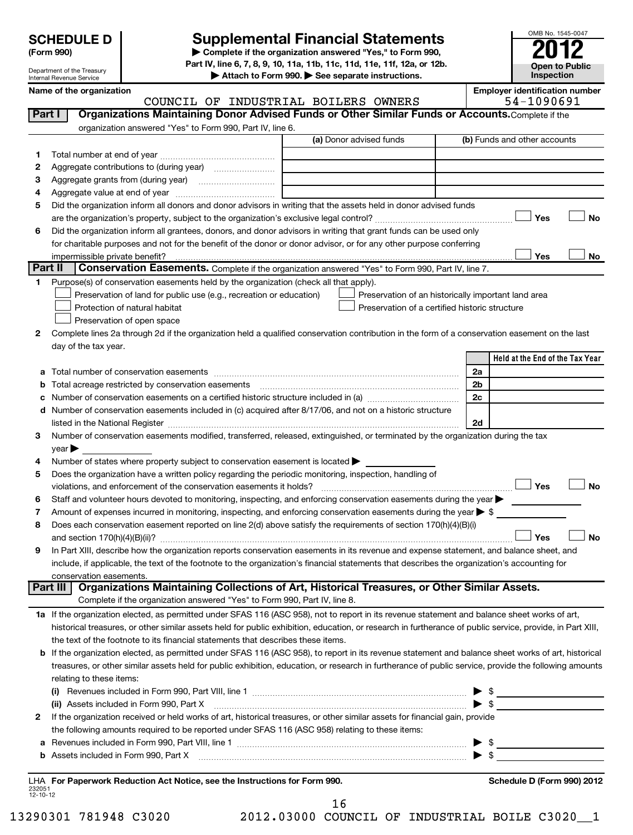Department of the Treasury Internal Revenue Service

# **Supplemental Financial Statements**

**(Form 990) | Complete if the organization answered "Yes," to Form 990, Part IV, line 6, 7, 8, 9, 10, 11a, 11b, 11c, 11d, 11e, 11f, 12a, or 12b.**

**| Attach to Form 990. | See separate instructions.**

**Open to Public Inspection**

OMB No. 1545-0047

| Internal Revenue Service<br>$\blacktriangleright$ Allach to Form 390. $\blacktriangleright$ 366 separate msuluctions. |            |               |         |               |  | <b>IIIODUCUUII</b>                    |
|-----------------------------------------------------------------------------------------------------------------------|------------|---------------|---------|---------------|--|---------------------------------------|
| Name of the organization                                                                                              |            |               |         |               |  | <b>Emplover identification number</b> |
|                                                                                                                       | ΩF<br>OUNC | TNDIISTR TAI. | ROTLERS | <b>OWNERS</b> |  | . 41                                  |

COUNCIL OF INDUSTRIAL BOILERS OWNERS

| Part I  | <b>UUNUILU UL</b><br>Organizations Maintaining Donor Advised Funds or Other Similar Funds or Accounts. Complete if the                                                                                                        | THROPIKING POTPHIP                                  |                                 |
|---------|-------------------------------------------------------------------------------------------------------------------------------------------------------------------------------------------------------------------------------|-----------------------------------------------------|---------------------------------|
|         | organization answered "Yes" to Form 990, Part IV, line 6.                                                                                                                                                                     |                                                     |                                 |
|         |                                                                                                                                                                                                                               | (a) Donor advised funds                             | (b) Funds and other accounts    |
| 1       |                                                                                                                                                                                                                               |                                                     |                                 |
| 2       | Aggregate contributions to (during year) [10] [10] Mggregate contributions to (during year)                                                                                                                                   |                                                     |                                 |
| 3       |                                                                                                                                                                                                                               |                                                     |                                 |
| 4       |                                                                                                                                                                                                                               |                                                     |                                 |
| 5       | Did the organization inform all donors and donor advisors in writing that the assets held in donor advised funds                                                                                                              |                                                     |                                 |
|         |                                                                                                                                                                                                                               |                                                     | Yes<br>No                       |
| 6       | Did the organization inform all grantees, donors, and donor advisors in writing that grant funds can be used only                                                                                                             |                                                     |                                 |
|         | for charitable purposes and not for the benefit of the donor or donor advisor, or for any other purpose conferring                                                                                                            |                                                     |                                 |
|         |                                                                                                                                                                                                                               |                                                     | Yes<br>No                       |
| Part II | Conservation Easements. Complete if the organization answered "Yes" to Form 990, Part IV, line 7.                                                                                                                             |                                                     |                                 |
| 1       | Purpose(s) of conservation easements held by the organization (check all that apply).                                                                                                                                         |                                                     |                                 |
|         | Preservation of land for public use (e.g., recreation or education)                                                                                                                                                           | Preservation of an historically important land area |                                 |
|         | Protection of natural habitat                                                                                                                                                                                                 | Preservation of a certified historic structure      |                                 |
|         | Preservation of open space                                                                                                                                                                                                    |                                                     |                                 |
| 2       | Complete lines 2a through 2d if the organization held a qualified conservation contribution in the form of a conservation easement on the last                                                                                |                                                     |                                 |
|         | day of the tax year.                                                                                                                                                                                                          |                                                     |                                 |
|         |                                                                                                                                                                                                                               |                                                     | Held at the End of the Tax Year |
| a       |                                                                                                                                                                                                                               |                                                     | 2a                              |
| b       | Total acreage restricted by conservation easements                                                                                                                                                                            |                                                     | 2 <sub>b</sub>                  |
| с       | Number of conservation easements on a certified historic structure included in (a) manufacture included in (a)                                                                                                                |                                                     | 2c                              |
| d       | Number of conservation easements included in (c) acquired after 8/17/06, and not on a historic structure                                                                                                                      |                                                     |                                 |
|         | listed in the National Register [111] Marshall Register [11] Marshall Register [11] Marshall Register [11] Marshall Register [11] Marshall Register [11] Marshall Register [11] Marshall Register [11] Marshall Register [11] |                                                     | 2d                              |
| З       | Number of conservation easements modified, transferred, released, extinguished, or terminated by the organization during the tax                                                                                              |                                                     |                                 |
|         | year                                                                                                                                                                                                                          |                                                     |                                 |
| 4       | Number of states where property subject to conservation easement is located                                                                                                                                                   |                                                     |                                 |
| 5       | Does the organization have a written policy regarding the periodic monitoring, inspection, handling of                                                                                                                        |                                                     |                                 |
|         | violations, and enforcement of the conservation easements it holds?                                                                                                                                                           |                                                     | Yes<br><b>No</b>                |
| 6       | Staff and volunteer hours devoted to monitoring, inspecting, and enforcing conservation easements during the year                                                                                                             |                                                     |                                 |
| 7       | Amount of expenses incurred in monitoring, inspecting, and enforcing conservation easements during the year $\triangleright$ \$                                                                                               |                                                     |                                 |
| 8       | Does each conservation easement reported on line 2(d) above satisfy the requirements of section 170(h)(4)(B)(i)                                                                                                               |                                                     |                                 |
|         | and section $170(h)(4)(B)(ii)?$                                                                                                                                                                                               |                                                     | <b>No</b><br>Yes                |
| 9       | In Part XIII, describe how the organization reports conservation easements in its revenue and expense statement, and balance sheet, and                                                                                       |                                                     |                                 |
|         | include, if applicable, the text of the footnote to the organization's financial statements that describes the organization's accounting for                                                                                  |                                                     |                                 |
|         | conservation easements.                                                                                                                                                                                                       |                                                     |                                 |
|         | Part III<br>Organizations Maintaining Collections of Art, Historical Treasures, or Other Similar Assets.                                                                                                                      |                                                     |                                 |
|         | Complete if the organization answered "Yes" to Form 990, Part IV, line 8.                                                                                                                                                     |                                                     |                                 |
|         | 1a If the organization elected, as permitted under SFAS 116 (ASC 958), not to report in its revenue statement and balance sheet works of art,                                                                                 |                                                     |                                 |
|         | historical treasures, or other similar assets held for public exhibition, education, or research in furtherance of public service, provide, in Part XIII,                                                                     |                                                     |                                 |
|         | the text of the footnote to its financial statements that describes these items.                                                                                                                                              |                                                     |                                 |
| b       | If the organization elected, as permitted under SFAS 116 (ASC 958), to report in its revenue statement and balance sheet works of art, historical                                                                             |                                                     |                                 |
|         | treasures, or other similar assets held for public exhibition, education, or research in furtherance of public service, provide the following amounts                                                                         |                                                     |                                 |
|         | relating to these items:                                                                                                                                                                                                      |                                                     |                                 |
|         |                                                                                                                                                                                                                               |                                                     | $\triangleright$ \$             |
|         | (ii) Assets included in Form 990, Part X                                                                                                                                                                                      |                                                     | $\blacktriangleright$ \$        |
| 2       | If the organization received or held works of art, historical treasures, or other similar assets for financial gain, provide                                                                                                  |                                                     |                                 |
|         | the following amounts required to be reported under SFAS 116 (ASC 958) relating to these items:                                                                                                                               |                                                     |                                 |
| а       |                                                                                                                                                                                                                               |                                                     | $\bullet$ \$                    |
| b       | Assets included in Form 990, Part X [CONDITED INTERNATION IN A SERVICE 2010]                                                                                                                                                  |                                                     | $\blacktriangleright$ \$        |
|         |                                                                                                                                                                                                                               |                                                     |                                 |
|         | LHA For Paperwork Reduction Act Notice, see the Instructions for Form 990.                                                                                                                                                    |                                                     | Schedule D (Form 990) 2012      |

232051 12-10-12

16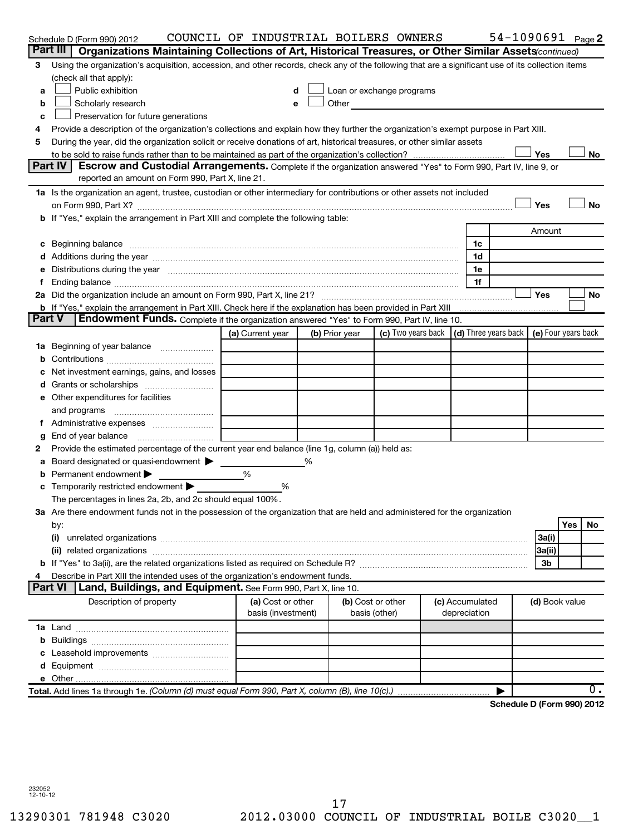|               | Schedule D (Form 990) 2012                                                                                                                                                                                                     | COUNCIL OF INDUSTRIAL BOILERS OWNERS |                                                                                                                                                                                                                                |                                                                             |                 |                | 54-1090691 $_{Page}$ 2           |
|---------------|--------------------------------------------------------------------------------------------------------------------------------------------------------------------------------------------------------------------------------|--------------------------------------|--------------------------------------------------------------------------------------------------------------------------------------------------------------------------------------------------------------------------------|-----------------------------------------------------------------------------|-----------------|----------------|----------------------------------|
|               | Part III<br>Organizations Maintaining Collections of Art, Historical Treasures, or Other Similar Assets (continued)                                                                                                            |                                      |                                                                                                                                                                                                                                |                                                                             |                 |                |                                  |
| 3             | Using the organization's acquisition, accession, and other records, check any of the following that are a significant use of its collection items                                                                              |                                      |                                                                                                                                                                                                                                |                                                                             |                 |                |                                  |
|               | (check all that apply):                                                                                                                                                                                                        |                                      |                                                                                                                                                                                                                                |                                                                             |                 |                |                                  |
| a             | Public exhibition                                                                                                                                                                                                              |                                      | Loan or exchange programs                                                                                                                                                                                                      |                                                                             |                 |                |                                  |
| b             | Scholarly research                                                                                                                                                                                                             |                                      | Other and the control of the control of the control of the control of the control of the control of the control of the control of the control of the control of the control of the control of the control of the control of th |                                                                             |                 |                |                                  |
| c             | Preservation for future generations                                                                                                                                                                                            |                                      |                                                                                                                                                                                                                                |                                                                             |                 |                |                                  |
| 4             | Provide a description of the organization's collections and explain how they further the organization's exempt purpose in Part XIII.                                                                                           |                                      |                                                                                                                                                                                                                                |                                                                             |                 |                |                                  |
| 5             | During the year, did the organization solicit or receive donations of art, historical treasures, or other similar assets                                                                                                       |                                      |                                                                                                                                                                                                                                |                                                                             |                 |                |                                  |
|               |                                                                                                                                                                                                                                |                                      |                                                                                                                                                                                                                                |                                                                             |                 | Yes            | No                               |
|               | Part IV<br><b>Escrow and Custodial Arrangements.</b> Complete if the organization answered "Yes" to Form 990, Part IV, line 9, or                                                                                              |                                      |                                                                                                                                                                                                                                |                                                                             |                 |                |                                  |
|               | reported an amount on Form 990, Part X, line 21.                                                                                                                                                                               |                                      |                                                                                                                                                                                                                                |                                                                             |                 |                |                                  |
|               | 1a Is the organization an agent, trustee, custodian or other intermediary for contributions or other assets not included                                                                                                       |                                      |                                                                                                                                                                                                                                |                                                                             |                 |                |                                  |
|               |                                                                                                                                                                                                                                |                                      |                                                                                                                                                                                                                                |                                                                             |                 | Yes            | <b>No</b>                        |
|               | b If "Yes," explain the arrangement in Part XIII and complete the following table:                                                                                                                                             |                                      |                                                                                                                                                                                                                                |                                                                             |                 |                |                                  |
|               |                                                                                                                                                                                                                                |                                      |                                                                                                                                                                                                                                |                                                                             |                 | Amount         |                                  |
|               | c Beginning balance measurements and the contract of the contract of the contract of the contract of the contract of the contract of the contract of the contract of the contract of the contract of the contract of the contr |                                      |                                                                                                                                                                                                                                |                                                                             | 1c              |                |                                  |
|               |                                                                                                                                                                                                                                |                                      |                                                                                                                                                                                                                                |                                                                             | 1d              |                |                                  |
|               | Distributions during the year manufactured and an account of the year manufactured and the year manufactured and the year manufactured and the year manufactured and the year manufactured and the year manufactured and the y |                                      |                                                                                                                                                                                                                                |                                                                             | 1e              |                |                                  |
|               |                                                                                                                                                                                                                                |                                      |                                                                                                                                                                                                                                |                                                                             | 1f              |                |                                  |
|               |                                                                                                                                                                                                                                |                                      |                                                                                                                                                                                                                                |                                                                             |                 | Yes            | No                               |
| <b>Part V</b> | b If "Yes," explain the arrangement in Part XIII. Check here if the explanation has been provided in Part XIII<br>Endowment Funds. Complete if the organization answered "Yes" to Form 990, Part IV, line 10.                  |                                      |                                                                                                                                                                                                                                |                                                                             |                 |                |                                  |
|               |                                                                                                                                                                                                                                | (a) Current year                     |                                                                                                                                                                                                                                | (c) Two years back $\vert$ (d) Three years back $\vert$ (e) Four years back |                 |                |                                  |
|               |                                                                                                                                                                                                                                |                                      | (b) Prior year                                                                                                                                                                                                                 |                                                                             |                 |                |                                  |
|               |                                                                                                                                                                                                                                |                                      |                                                                                                                                                                                                                                |                                                                             |                 |                |                                  |
|               | Net investment earnings, gains, and losses                                                                                                                                                                                     |                                      |                                                                                                                                                                                                                                |                                                                             |                 |                |                                  |
|               |                                                                                                                                                                                                                                |                                      |                                                                                                                                                                                                                                |                                                                             |                 |                |                                  |
|               | e Other expenditures for facilities                                                                                                                                                                                            |                                      |                                                                                                                                                                                                                                |                                                                             |                 |                |                                  |
|               | and programs                                                                                                                                                                                                                   |                                      |                                                                                                                                                                                                                                |                                                                             |                 |                |                                  |
|               |                                                                                                                                                                                                                                |                                      |                                                                                                                                                                                                                                |                                                                             |                 |                |                                  |
| g             | End of year balance                                                                                                                                                                                                            |                                      |                                                                                                                                                                                                                                |                                                                             |                 |                |                                  |
| 2             | Provide the estimated percentage of the current year end balance (line 1g, column (a)) held as:                                                                                                                                |                                      |                                                                                                                                                                                                                                |                                                                             |                 |                |                                  |
| а             | Board designated or quasi-endowment >                                                                                                                                                                                          |                                      |                                                                                                                                                                                                                                |                                                                             |                 |                |                                  |
| b             | Permanent endowment                                                                                                                                                                                                            | %                                    |                                                                                                                                                                                                                                |                                                                             |                 |                |                                  |
|               | c Temporarily restricted endowment                                                                                                                                                                                             | %                                    |                                                                                                                                                                                                                                |                                                                             |                 |                |                                  |
|               | The percentages in lines 2a, 2b, and 2c should equal 100%.                                                                                                                                                                     |                                      |                                                                                                                                                                                                                                |                                                                             |                 |                |                                  |
|               | 3a Are there endowment funds not in the possession of the organization that are held and administered for the organization                                                                                                     |                                      |                                                                                                                                                                                                                                |                                                                             |                 |                |                                  |
|               | by:                                                                                                                                                                                                                            |                                      |                                                                                                                                                                                                                                |                                                                             |                 |                | Yes<br>No.                       |
|               | (i)                                                                                                                                                                                                                            |                                      |                                                                                                                                                                                                                                |                                                                             |                 | 3a(i)          |                                  |
|               |                                                                                                                                                                                                                                |                                      |                                                                                                                                                                                                                                |                                                                             |                 | 3a(ii)         |                                  |
|               |                                                                                                                                                                                                                                |                                      |                                                                                                                                                                                                                                |                                                                             |                 | 3b             |                                  |
|               | Describe in Part XIII the intended uses of the organization's endowment funds.                                                                                                                                                 |                                      |                                                                                                                                                                                                                                |                                                                             |                 |                |                                  |
|               | <b>Part VI</b><br>Land, Buildings, and Equipment. See Form 990, Part X, line 10.                                                                                                                                               |                                      |                                                                                                                                                                                                                                |                                                                             |                 |                |                                  |
|               | Description of property                                                                                                                                                                                                        | (a) Cost or other                    |                                                                                                                                                                                                                                | (b) Cost or other                                                           | (c) Accumulated | (d) Book value |                                  |
|               |                                                                                                                                                                                                                                | basis (investment)                   |                                                                                                                                                                                                                                | basis (other)                                                               | depreciation    |                |                                  |
|               |                                                                                                                                                                                                                                |                                      |                                                                                                                                                                                                                                |                                                                             |                 |                |                                  |
|               |                                                                                                                                                                                                                                |                                      |                                                                                                                                                                                                                                |                                                                             |                 |                |                                  |
|               |                                                                                                                                                                                                                                |                                      |                                                                                                                                                                                                                                |                                                                             |                 |                |                                  |
|               |                                                                                                                                                                                                                                |                                      |                                                                                                                                                                                                                                |                                                                             |                 |                |                                  |
|               |                                                                                                                                                                                                                                |                                      |                                                                                                                                                                                                                                |                                                                             |                 |                |                                  |
|               | Total. Add lines 1a through 1e. (Column (d) must equal Form 990, Part X, column (B), line 10(c).)                                                                                                                              |                                      |                                                                                                                                                                                                                                |                                                                             |                 |                | Ο.<br>Schedule D (Form 990) 2012 |
|               |                                                                                                                                                                                                                                |                                      |                                                                                                                                                                                                                                |                                                                             |                 |                |                                  |

**Schedule D (Form 990) 2012**

232052 12-10-12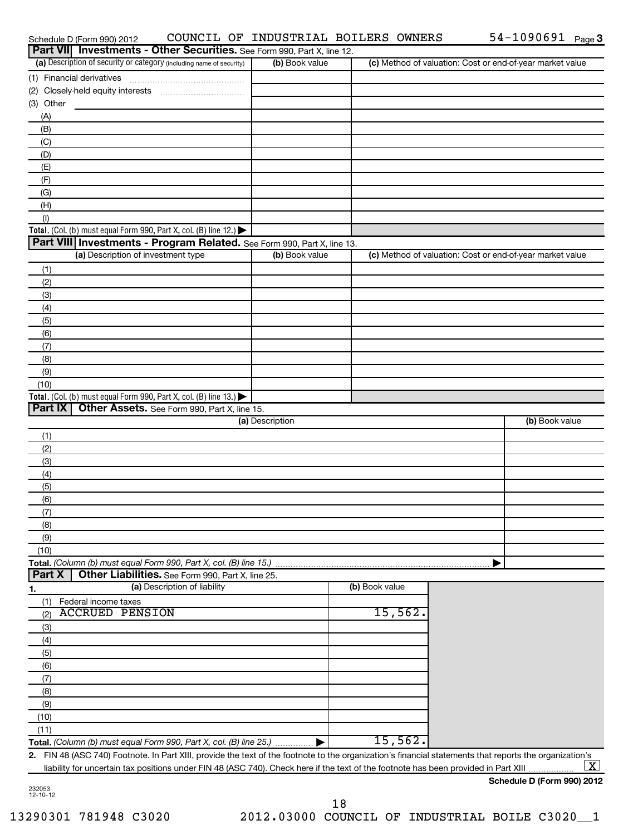| Schedule D (Form 990) 2012                                                                                                                              |                 | COUNCIL OF INDUSTRIAL BOILERS OWNERS |                                                           | $54 - 1090691$ Page 3      |
|---------------------------------------------------------------------------------------------------------------------------------------------------------|-----------------|--------------------------------------|-----------------------------------------------------------|----------------------------|
| Part VII Investments - Other Securities. See Form 990, Part X, line 12.                                                                                 |                 |                                      |                                                           |                            |
| (a) Description of security or category (including name of security)                                                                                    | (b) Book value  |                                      | (c) Method of valuation: Cost or end-of-year market value |                            |
| (1) Financial derivatives                                                                                                                               |                 |                                      |                                                           |                            |
| (2) Closely-held equity interests                                                                                                                       |                 |                                      |                                                           |                            |
| (3) Other<br>(A)                                                                                                                                        |                 |                                      |                                                           |                            |
| (B)                                                                                                                                                     |                 |                                      |                                                           |                            |
| (C)                                                                                                                                                     |                 |                                      |                                                           |                            |
| (D)                                                                                                                                                     |                 |                                      |                                                           |                            |
| (E)                                                                                                                                                     |                 |                                      |                                                           |                            |
| (F)                                                                                                                                                     |                 |                                      |                                                           |                            |
| (G)                                                                                                                                                     |                 |                                      |                                                           |                            |
| (H)                                                                                                                                                     |                 |                                      |                                                           |                            |
| (1)                                                                                                                                                     |                 |                                      |                                                           |                            |
| Total. (Col. (b) must equal Form 990, Part X, col. (B) line 12.) $\blacktriangleright$                                                                  |                 |                                      |                                                           |                            |
| Part VIII   Investments - Program Related. See Form 990, Part X, line 13.                                                                               |                 |                                      |                                                           |                            |
| (a) Description of investment type                                                                                                                      | (b) Book value  |                                      | (c) Method of valuation: Cost or end-of-year market value |                            |
| (1)                                                                                                                                                     |                 |                                      |                                                           |                            |
| (2)                                                                                                                                                     |                 |                                      |                                                           |                            |
| (3)                                                                                                                                                     |                 |                                      |                                                           |                            |
| (4)                                                                                                                                                     |                 |                                      |                                                           |                            |
| (5)                                                                                                                                                     |                 |                                      |                                                           |                            |
| (6)                                                                                                                                                     |                 |                                      |                                                           |                            |
| (7)<br>(8)                                                                                                                                              |                 |                                      |                                                           |                            |
| (9)                                                                                                                                                     |                 |                                      |                                                           |                            |
| (10)                                                                                                                                                    |                 |                                      |                                                           |                            |
| Total. (Col. (b) must equal Form 990, Part X, col. (B) line 13.) $\blacktriangleright$                                                                  |                 |                                      |                                                           |                            |
| Part IX<br>Other Assets. See Form 990, Part X, line 15.                                                                                                 |                 |                                      |                                                           |                            |
|                                                                                                                                                         | (a) Description |                                      |                                                           | (b) Book value             |
| (1)                                                                                                                                                     |                 |                                      |                                                           |                            |
| (2)                                                                                                                                                     |                 |                                      |                                                           |                            |
| (3)                                                                                                                                                     |                 |                                      |                                                           |                            |
| (4)                                                                                                                                                     |                 |                                      |                                                           |                            |
| (5)                                                                                                                                                     |                 |                                      |                                                           |                            |
| (6)                                                                                                                                                     |                 |                                      |                                                           |                            |
| (7)                                                                                                                                                     |                 |                                      |                                                           |                            |
| (8)                                                                                                                                                     |                 |                                      |                                                           |                            |
| (9)                                                                                                                                                     |                 |                                      |                                                           |                            |
| (10)                                                                                                                                                    |                 |                                      |                                                           |                            |
| Total. (Column (b) must equal Form 990, Part X, col. (B) line 15.)<br>Other Liabilities. See Form 990, Part X, line 25.<br>Part X                       |                 |                                      |                                                           |                            |
| (a) Description of liability                                                                                                                            |                 | (b) Book value                       |                                                           |                            |
| 1.<br>(1)<br>Federal income taxes                                                                                                                       |                 |                                      |                                                           |                            |
| <b>ACCRUED PENSION</b><br>(2)                                                                                                                           |                 | 15,562.                              |                                                           |                            |
| (3)                                                                                                                                                     |                 |                                      |                                                           |                            |
| (4)                                                                                                                                                     |                 |                                      |                                                           |                            |
| (5)                                                                                                                                                     |                 |                                      |                                                           |                            |
| (6)                                                                                                                                                     |                 |                                      |                                                           |                            |
| (7)                                                                                                                                                     |                 |                                      |                                                           |                            |
| (8)                                                                                                                                                     |                 |                                      |                                                           |                            |
| (9)                                                                                                                                                     |                 |                                      |                                                           |                            |
| (10)                                                                                                                                                    |                 |                                      |                                                           |                            |
| (11)                                                                                                                                                    |                 |                                      |                                                           |                            |
| Total. (Column (b) must equal Form 990, Part X, col. (B) line 25.)                                                                                      |                 | 15,562.                              |                                                           |                            |
| 2. FIN 48 (ASC 740) Footnote. In Part XIII, provide the text of the footnote to the organization's financial statements that reports the organization's |                 |                                      |                                                           |                            |
| liability for uncertain tax positions under FIN 48 (ASC 740). Check here if the text of the footnote has been provided in Part XIII                     |                 |                                      |                                                           | х                          |
|                                                                                                                                                         |                 |                                      |                                                           | Schedule D (Form 990) 2012 |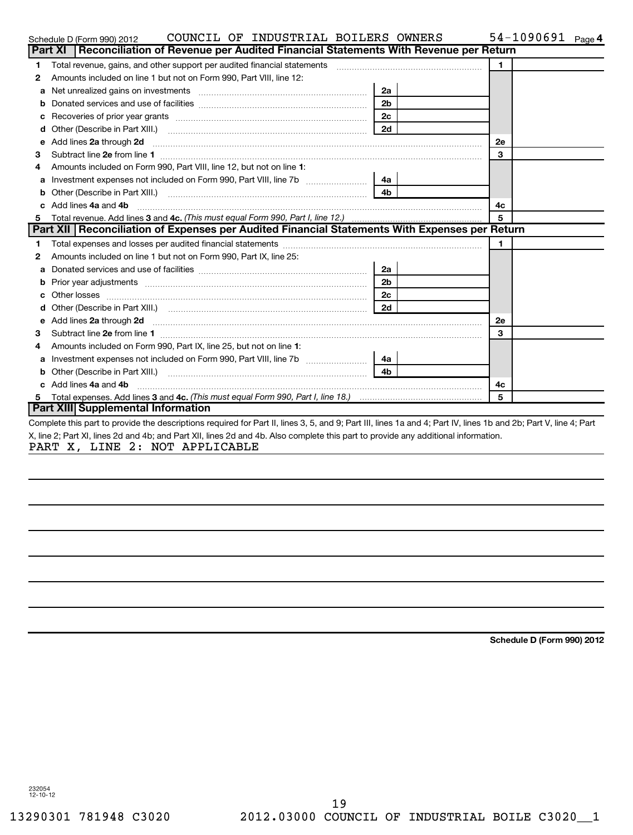|    | COUNCIL OF INDUSTRIAL BOILERS OWNERS<br>Schedule D (Form 990) 2012                                                                                                                                                                        |                |              | $54-1090691$ Page 4 |  |
|----|-------------------------------------------------------------------------------------------------------------------------------------------------------------------------------------------------------------------------------------------|----------------|--------------|---------------------|--|
|    | Reconciliation of Revenue per Audited Financial Statements With Revenue per Return<br><b>Part XI</b>                                                                                                                                      |                |              |                     |  |
| 1  | Total revenue, gains, and other support per audited financial statements                                                                                                                                                                  |                | $\mathbf{1}$ |                     |  |
| 2  | Amounts included on line 1 but not on Form 990, Part VIII, line 12:                                                                                                                                                                       |                |              |                     |  |
| a  | Net unrealized gains on investments [11] matter contracts and the unrealized gains on investments [11] matter                                                                                                                             | 2a             |              |                     |  |
|    |                                                                                                                                                                                                                                           | 2 <sub>b</sub> |              |                     |  |
|    |                                                                                                                                                                                                                                           | 2 <sub>c</sub> |              |                     |  |
| d  |                                                                                                                                                                                                                                           | 2d             |              |                     |  |
| e  | Add lines 2a through 2d                                                                                                                                                                                                                   |                | <b>2e</b>    |                     |  |
| З  |                                                                                                                                                                                                                                           |                | 3            |                     |  |
| 4  | Amounts included on Form 990, Part VIII, line 12, but not on line 1:                                                                                                                                                                      |                |              |                     |  |
| a  | Investment expenses not included on Form 990, Part VIII, line 7b [                                                                                                                                                                        | 4a             |              |                     |  |
| b  | Other (Describe in Part XIII.) [1001] [2010] [2010] [2010] [3010] [3010] [3010] [3010] [3010] [3010] [3010] [3010] [3010] [3010] [3010] [3010] [3010] [3010] [3010] [3010] [3010] [3010] [3010] [3010] [3010] [3010] [3010] [3            | 4b             |              |                     |  |
|    | Add lines 4a and 4b                                                                                                                                                                                                                       |                | 4c           |                     |  |
| 5  |                                                                                                                                                                                                                                           |                | 5            |                     |  |
|    | Part XII   Reconciliation of Expenses per Audited Financial Statements With Expenses per Return                                                                                                                                           |                |              |                     |  |
| 1. |                                                                                                                                                                                                                                           |                | 1.           |                     |  |
| 2  | Amounts included on line 1 but not on Form 990, Part IX, line 25:                                                                                                                                                                         |                |              |                     |  |
| а  |                                                                                                                                                                                                                                           | 2a             |              |                     |  |
|    | <b>b</b> Prior year adjustments <i>manually contained and a contained a prior year adjustments and a prior of the contained and a contained and a prior of the contained and a contained and contained a contained and contained and </i> | 2 <sub>b</sub> |              |                     |  |
| c  |                                                                                                                                                                                                                                           | 2 <sub>c</sub> |              |                     |  |
|    |                                                                                                                                                                                                                                           | 2d             |              |                     |  |
| е  | Add lines 2a through 2d <b>continuum continuum contract and allocated</b> and an analyzing contract and continuum contract and contract and contract and contract and contract and contract and contract and contract and contract        |                | <b>2e</b>    |                     |  |
| 3  |                                                                                                                                                                                                                                           |                | 3            |                     |  |
| 4  | Amounts included on Form 990, Part IX, line 25, but not on line 1:                                                                                                                                                                        |                |              |                     |  |
| а  |                                                                                                                                                                                                                                           | 4a l           |              |                     |  |
|    |                                                                                                                                                                                                                                           | 4 <sub>h</sub> |              |                     |  |
|    | c Add lines 4a and 4b                                                                                                                                                                                                                     |                | 4c           |                     |  |
|    |                                                                                                                                                                                                                                           |                | 5            |                     |  |
|    | Part XIII Supplemental Information                                                                                                                                                                                                        |                |              |                     |  |
|    | Complete this part to provide the descriptions required for Part II, lines 3, 5, and 9; Part III, lines 1a and 4; Part IV, lines 1b and 2b; Part V, line 4; Part                                                                          |                |              |                     |  |
|    | X, line 2; Part XI, lines 2d and 4b; and Part XII, lines 2d and 4b. Also complete this part to provide any additional information.                                                                                                        |                |              |                     |  |
|    | PART X, LINE 2: NOT APPLICABLE                                                                                                                                                                                                            |                |              |                     |  |

**Schedule D (Form 990) 2012**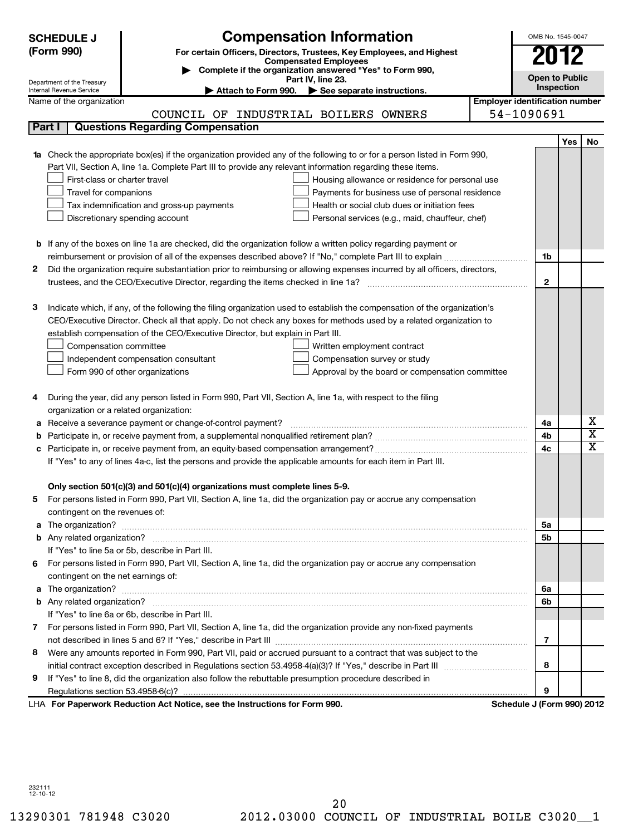|   | <b>Compensation Information</b><br><b>SCHEDULE J</b><br>(Form 990)<br>For certain Officers, Directors, Trustees, Key Employees, and Highest<br><b>Compensated Employees</b>                                                                                                                                                                                                                                                                                                                                                                                                                | OMB No. 1545-0047<br>2012             |  |  |  |
|---|--------------------------------------------------------------------------------------------------------------------------------------------------------------------------------------------------------------------------------------------------------------------------------------------------------------------------------------------------------------------------------------------------------------------------------------------------------------------------------------------------------------------------------------------------------------------------------------------|---------------------------------------|--|--|--|
|   | Complete if the organization answered "Yes" to Form 990,<br>Part IV, line 23.<br>Department of the Treasury                                                                                                                                                                                                                                                                                                                                                                                                                                                                                | <b>Open to Public</b>                 |  |  |  |
|   | Internal Revenue Service<br>Attach to Form 990. See separate instructions.                                                                                                                                                                                                                                                                                                                                                                                                                                                                                                                 | Inspection                            |  |  |  |
|   | Name of the organization                                                                                                                                                                                                                                                                                                                                                                                                                                                                                                                                                                   | <b>Employer identification number</b> |  |  |  |
|   | COUNCIL OF INDUSTRIAL BOILERS OWNERS                                                                                                                                                                                                                                                                                                                                                                                                                                                                                                                                                       | 54-1090691                            |  |  |  |
|   | <b>Questions Regarding Compensation</b><br>Part I                                                                                                                                                                                                                                                                                                                                                                                                                                                                                                                                          |                                       |  |  |  |
|   | 1a Check the appropriate box(es) if the organization provided any of the following to or for a person listed in Form 990,<br>Part VII, Section A, line 1a. Complete Part III to provide any relevant information regarding these items.<br>First-class or charter travel<br>Housing allowance or residence for personal use<br>Travel for companions<br>Payments for business use of personal residence<br>Health or social club dues or initiation fees<br>Tax indemnification and gross-up payments<br>Discretionary spending account<br>Personal services (e.g., maid, chauffeur, chef) | Yes<br>No                             |  |  |  |
|   | <b>b</b> If any of the boxes on line 1a are checked, did the organization follow a written policy regarding payment or                                                                                                                                                                                                                                                                                                                                                                                                                                                                     |                                       |  |  |  |
|   | reimbursement or provision of all of the expenses described above? If "No," complete Part III to explain                                                                                                                                                                                                                                                                                                                                                                                                                                                                                   | 1b                                    |  |  |  |
| 2 | Did the organization require substantiation prior to reimbursing or allowing expenses incurred by all officers, directors,                                                                                                                                                                                                                                                                                                                                                                                                                                                                 |                                       |  |  |  |
|   |                                                                                                                                                                                                                                                                                                                                                                                                                                                                                                                                                                                            | $\mathbf{2}$                          |  |  |  |
| з | Indicate which, if any, of the following the filing organization used to establish the compensation of the organization's<br>CEO/Executive Director. Check all that apply. Do not check any boxes for methods used by a related organization to<br>establish compensation of the CEO/Executive Director, but explain in Part III.<br>Compensation committee<br>Written employment contract<br>Compensation survey or study<br>Independent compensation consultant<br>Approval by the board or compensation committee<br>Form 990 of other organizations                                    |                                       |  |  |  |
| 4 | During the year, did any person listed in Form 990, Part VII, Section A, line 1a, with respect to the filing                                                                                                                                                                                                                                                                                                                                                                                                                                                                               |                                       |  |  |  |
|   | organization or a related organization:<br>Receive a severance payment or change-of-control payment?                                                                                                                                                                                                                                                                                                                                                                                                                                                                                       | X<br>4a                               |  |  |  |
| а |                                                                                                                                                                                                                                                                                                                                                                                                                                                                                                                                                                                            | $\overline{\text{x}}$<br>4b           |  |  |  |
| с |                                                                                                                                                                                                                                                                                                                                                                                                                                                                                                                                                                                            | $\overline{\texttt{x}}$<br>4c         |  |  |  |
|   | If "Yes" to any of lines 4a-c, list the persons and provide the applicable amounts for each item in Part III.                                                                                                                                                                                                                                                                                                                                                                                                                                                                              |                                       |  |  |  |
| 5 | Only section 501(c)(3) and 501(c)(4) organizations must complete lines 5-9.<br>For persons listed in Form 990, Part VII, Section A, line 1a, did the organization pay or accrue any compensation<br>contingent on the revenues of:                                                                                                                                                                                                                                                                                                                                                         |                                       |  |  |  |
|   |                                                                                                                                                                                                                                                                                                                                                                                                                                                                                                                                                                                            | 5a                                    |  |  |  |
|   |                                                                                                                                                                                                                                                                                                                                                                                                                                                                                                                                                                                            | 5 <sub>b</sub>                        |  |  |  |
|   | If "Yes" to line 5a or 5b, describe in Part III.                                                                                                                                                                                                                                                                                                                                                                                                                                                                                                                                           |                                       |  |  |  |
|   | 6 For persons listed in Form 990, Part VII, Section A, line 1a, did the organization pay or accrue any compensation                                                                                                                                                                                                                                                                                                                                                                                                                                                                        |                                       |  |  |  |
|   | contingent on the net earnings of:                                                                                                                                                                                                                                                                                                                                                                                                                                                                                                                                                         |                                       |  |  |  |
| а |                                                                                                                                                                                                                                                                                                                                                                                                                                                                                                                                                                                            | 6a<br>6b                              |  |  |  |
|   | If "Yes" to line 6a or 6b, describe in Part III.                                                                                                                                                                                                                                                                                                                                                                                                                                                                                                                                           |                                       |  |  |  |
|   | 7 For persons listed in Form 990, Part VII, Section A, line 1a, did the organization provide any non-fixed payments                                                                                                                                                                                                                                                                                                                                                                                                                                                                        |                                       |  |  |  |
|   |                                                                                                                                                                                                                                                                                                                                                                                                                                                                                                                                                                                            | $\overline{7}$                        |  |  |  |
| 8 | Were any amounts reported in Form 990, Part VII, paid or accrued pursuant to a contract that was subject to the                                                                                                                                                                                                                                                                                                                                                                                                                                                                            |                                       |  |  |  |
|   |                                                                                                                                                                                                                                                                                                                                                                                                                                                                                                                                                                                            | 8                                     |  |  |  |
| 9 | If "Yes" to line 8, did the organization also follow the rebuttable presumption procedure described in                                                                                                                                                                                                                                                                                                                                                                                                                                                                                     |                                       |  |  |  |
|   | Regulations section 53.4958-6(c)?                                                                                                                                                                                                                                                                                                                                                                                                                                                                                                                                                          | 9                                     |  |  |  |
|   | LHA For Paperwork Reduction Act Notice, see the Instructions for Form 990.                                                                                                                                                                                                                                                                                                                                                                                                                                                                                                                 | Schedule J (Form 990) 2012            |  |  |  |

232111 12-10-12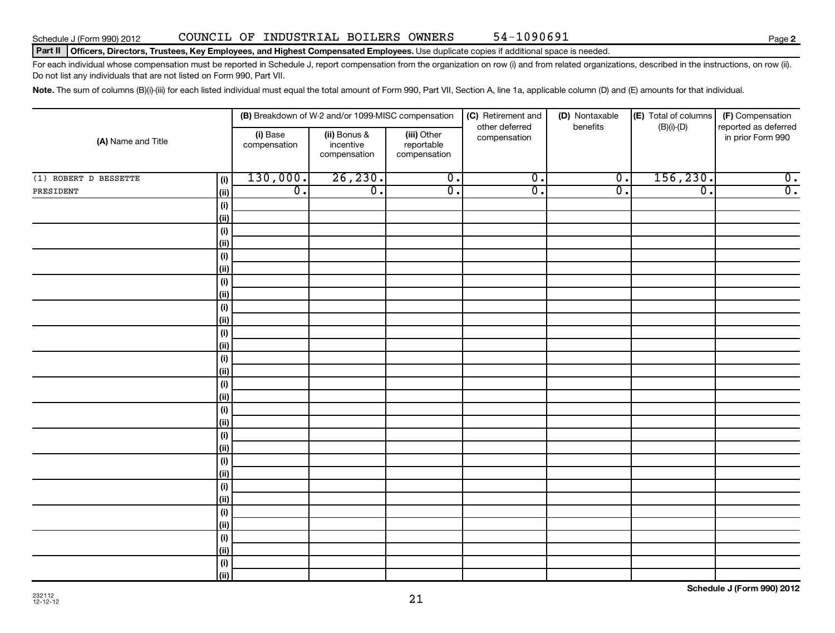#### Part II | Officers, Directors, Trustees, Key Employees, and Highest Compensated Employees. Use duplicate copies if additional space is needed.

For each individual whose compensation must be reported in Schedule J, report compensation from the organization on row (i) and from related organizations, described in the instructions, on row (ii). Do not list any individuals that are not listed on Form 990, Part VII.

Note. The sum of columns (B)(i)-(iii) for each listed individual must equal the total amount of Form 990, Part VII, Section A, line 1a, applicable column (D) and (E) amounts for that individual.

| (A) Name and Title    |                              |                             | (B) Breakdown of W-2 and/or 1099-MISC compensation |                                           | (C) Retirement and<br>other deferred | (D) Nontaxable<br>benefits  | (E) Total of columns<br>$(B)(i)-(D)$ | (F) Compensation<br>reported as deferred |
|-----------------------|------------------------------|-----------------------------|----------------------------------------------------|-------------------------------------------|--------------------------------------|-----------------------------|--------------------------------------|------------------------------------------|
|                       |                              | (i) Base<br>compensation    | (ii) Bonus &<br>incentive<br>compensation          | (iii) Other<br>reportable<br>compensation | compensation                         |                             |                                      | in prior Form 990                        |
| (1) ROBERT D BESSETTE | (i)                          | 130,000.                    | 26, 230.                                           | $\overline{0}$ .                          | $\overline{0}$ .                     | $\overline{\mathfrak{o}}$ . | 156, 230.                            | $\overline{0}$ .                         |
| PRESIDENT             | (ii)                         | $\overline{\mathfrak{o}}$ . | $\overline{\mathfrak{o}}$ .                        | $\overline{\mathfrak{o}}$ .               | $\overline{0}$ .                     | $\overline{0}$ .            | $\overline{\mathfrak{o}}$ .          | $\overline{0}$ .                         |
|                       | $\qquad \qquad \textbf{(i)}$ |                             |                                                    |                                           |                                      |                             |                                      |                                          |
|                       | (ii)                         |                             |                                                    |                                           |                                      |                             |                                      |                                          |
|                       | (i)                          |                             |                                                    |                                           |                                      |                             |                                      |                                          |
|                       | (ii)                         |                             |                                                    |                                           |                                      |                             |                                      |                                          |
|                       | (i)                          |                             |                                                    |                                           |                                      |                             |                                      |                                          |
|                       | (ii)                         |                             |                                                    |                                           |                                      |                             |                                      |                                          |
|                       | $\qquad \qquad \textbf{(i)}$ |                             |                                                    |                                           |                                      |                             |                                      |                                          |
|                       | (ii)                         |                             |                                                    |                                           |                                      |                             |                                      |                                          |
|                       | $\qquad \qquad \textbf{(i)}$ |                             |                                                    |                                           |                                      |                             |                                      |                                          |
|                       | (ii)                         |                             |                                                    |                                           |                                      |                             |                                      |                                          |
|                       | $\qquad \qquad \textbf{(i)}$ |                             |                                                    |                                           |                                      |                             |                                      |                                          |
|                       | (ii)                         |                             |                                                    |                                           |                                      |                             |                                      |                                          |
|                       | (i)                          |                             |                                                    |                                           |                                      |                             |                                      |                                          |
|                       | (ii)                         |                             |                                                    |                                           |                                      |                             |                                      |                                          |
|                       | (i)<br>(ii)                  |                             |                                                    |                                           |                                      |                             |                                      |                                          |
|                       | $\qquad \qquad \textbf{(i)}$ |                             |                                                    |                                           |                                      |                             |                                      |                                          |
|                       | (ii)                         |                             |                                                    |                                           |                                      |                             |                                      |                                          |
|                       | $\qquad \qquad \textbf{(i)}$ |                             |                                                    |                                           |                                      |                             |                                      |                                          |
|                       | (ii)                         |                             |                                                    |                                           |                                      |                             |                                      |                                          |
|                       | (i)                          |                             |                                                    |                                           |                                      |                             |                                      |                                          |
|                       | (ii)                         |                             |                                                    |                                           |                                      |                             |                                      |                                          |
|                       | (i)                          |                             |                                                    |                                           |                                      |                             |                                      |                                          |
|                       | (ii)                         |                             |                                                    |                                           |                                      |                             |                                      |                                          |
|                       | (i)                          |                             |                                                    |                                           |                                      |                             |                                      |                                          |
|                       | (ii)                         |                             |                                                    |                                           |                                      |                             |                                      |                                          |
|                       | (i)                          |                             |                                                    |                                           |                                      |                             |                                      |                                          |
|                       | (ii)                         |                             |                                                    |                                           |                                      |                             |                                      |                                          |
|                       | $(\sf{i})$                   |                             |                                                    |                                           |                                      |                             |                                      |                                          |
|                       | (ii)                         |                             |                                                    |                                           |                                      |                             |                                      |                                          |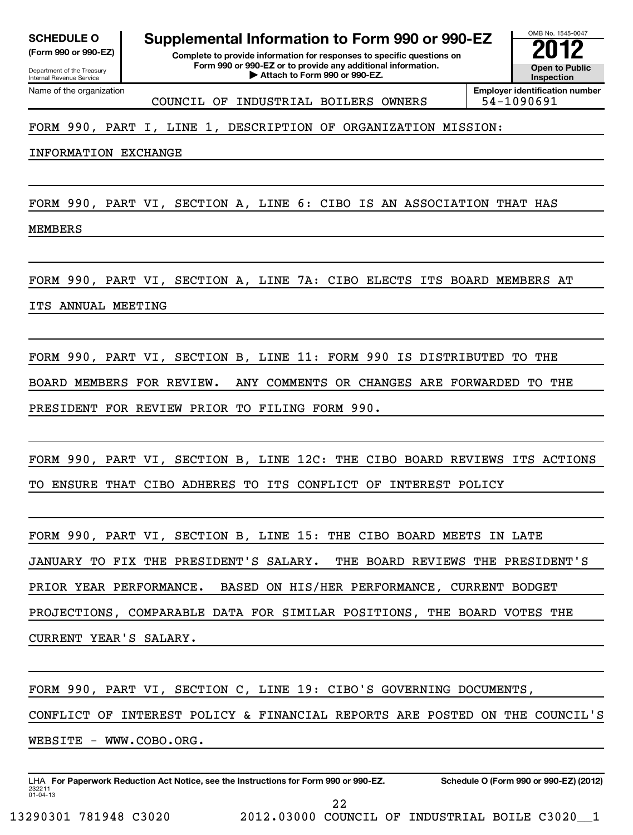| <b>SCHEDULE O</b> |  |
|-------------------|--|
|                   |  |

Department of the Treasury Internal Revenue Service Name of the organization **Supplemental Information to Form 990 or 990-EZ** 

**(Form 990 or 990-EZ) Complete to provide information for responses to specific questions on Form 990 or 990-EZ or to provide any additional information. P** Attach to provide any additional information. <br>
inspection and Devil and Devil and Devil and Devil and Devil and Devil and Devil and Devil and Devil and Devi

**Inspection**

OMB No. 1545-0047

COUNCIL OF INDUSTRIAL BOILERS OWNERS 54-1090691

**Employer identification number**

# FORM 990, PART I, LINE 1, DESCRIPTION OF ORGANIZATION MISSION:

INFORMATION EXCHANGE

FORM 990, PART VI, SECTION A, LINE 6: CIBO IS AN ASSOCIATION THAT HAS

MEMBERS

FORM 990, PART VI, SECTION A, LINE 7A: CIBO ELECTS ITS BOARD MEMBERS AT

ITS ANNUAL MEETING

FORM 990, PART VI, SECTION B, LINE 11: FORM 990 IS DISTRIBUTED TO THE BOARD MEMBERS FOR REVIEW. ANY COMMENTS OR CHANGES ARE FORWARDED TO THE PRESIDENT FOR REVIEW PRIOR TO FILING FORM 990.

FORM 990, PART VI, SECTION B, LINE 12C: THE CIBO BOARD REVIEWS ITS ACTIONS TO ENSURE THAT CIBO ADHERES TO ITS CONFLICT OF INTEREST POLICY

FORM 990, PART VI, SECTION B, LINE 15: THE CIBO BOARD MEETS IN LATE JANUARY TO FIX THE PRESIDENT'S SALARY. THE BOARD REVIEWS THE PRESIDENT'S PRIOR YEAR PERFORMANCE. BASED ON HIS/HER PERFORMANCE, CURRENT BODGET PROJECTIONS, COMPARABLE DATA FOR SIMILAR POSITIONS, THE BOARD VOTES THE CURRENT YEAR'S SALARY.

FORM 990, PART VI, SECTION C, LINE 19: CIBO'S GOVERNING DOCUMENTS,

CONFLICT OF INTEREST POLICY & FINANCIAL REPORTS ARE POSTED ON THE COUNCIL'S

WEBSITE - WWW.COBO.ORG.

232211 01-04-13 LHA For Paperwork Reduction Act Notice, see the Instructions for Form 990 or 990-EZ. Schedule O (Form 990 or 990-EZ) (2012)